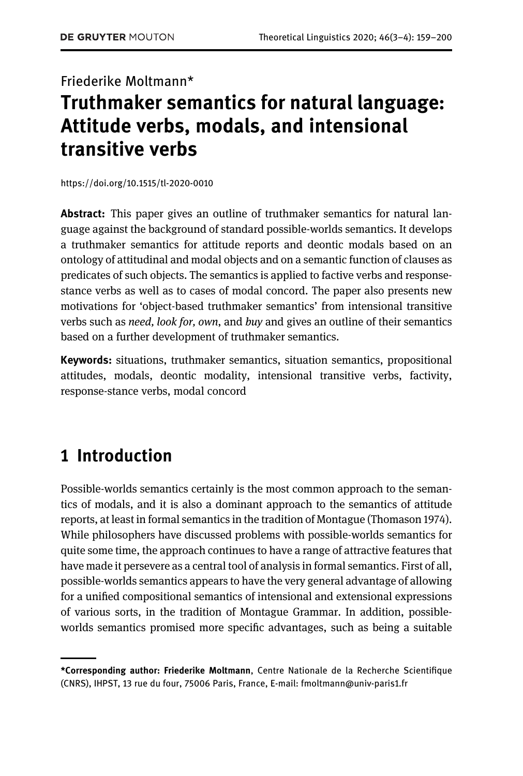# Friederike Moltmann\* Truthmaker semantics for natural language: Attitude verbs, modals, and intensional transitive verbs

<https://doi.org/10.1515/tl-2020-0010>

Abstract: This paper gives an outline of truthmaker semantics for natural language against the background of standard possible-worlds semantics. It develops a truthmaker semantics for attitude reports and deontic modals based on an ontology of attitudinal and modal objects and on a semantic function of clauses as predicates of such objects. The semantics is applied to factive verbs and responsestance verbs as well as to cases of modal concord. The paper also presents new motivations for 'object-based truthmaker semantics' from intensional transitive verbs such as need, look for, own, and buy and gives an outline of their semantics based on a further development of truthmaker semantics.

Keywords: situations, truthmaker semantics, situation semantics, propositional attitudes, modals, deontic modality, intensional transitive verbs, factivity, response-stance verbs, modal concord

## 1 Introduction

Possible-worlds semantics certainly is the most common approach to the semantics of modals, and it is also a dominant approach to the semantics of attitude reports, at least in formal semantics in the tradition of Montague ([Thomason 1974](#page-41-0)). While philosophers have discussed problems with possible-worlds semantics for quite some time, the approach continues to have a range of attractive features that have made it persevere as a central tool of analysis in formal semantics. First of all, possible-worlds semantics appears to have the very general advantage of allowing for a unified compositional semantics of intensional and extensional expressions of various sorts, in the tradition of Montague Grammar. In addition, possibleworlds semantics promised more specific advantages, such as being a suitable

<sup>\*</sup>Corresponding author: Friederike Moltmann, Centre Nationale de la Recherche Scientifique (CNRS), IHPST, 13 rue du four, 75006 Paris, France, E-mail: [fmoltmann@univ-paris1.fr](mailto:fmoltmann@univ-paris1.fr)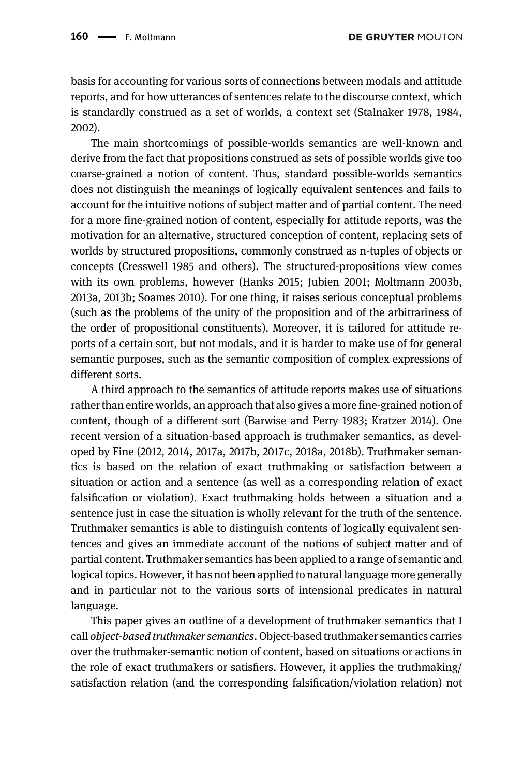basis for accounting for various sorts of connections between modals and attitude reports, and for how utterances of sentences relate to the discourse context, which is standardly construed as a set of worlds, a context set [\(Stalnaker 1978,](#page-41-1) [1984,](#page-41-2) [2002\)](#page-41-3).

The main shortcomings of possible-worlds semantics are well-known and derive from the fact that propositions construed as sets of possible worlds give too coarse-grained a notion of content. Thus, standard possible-worlds semantics does not distinguish the meanings of logically equivalent sentences and fails to account for the intuitive notions of subject matter and of partial content. The need for a more fine-grained notion of content, especially for attitude reports, was the motivation for an alternative, structured conception of content, replacing sets of worlds by structured propositions, commonly construed as n-tuples of objects or concepts ([Cresswell 1985](#page-39-0) and others). The structured-propositions view comes with its own problems, however ([Hanks 2015;](#page-40-0) [Jubien 2001](#page-40-1); [Moltmann 2003b,](#page-40-2) [2013a](#page-40-3), [2013b;](#page-40-4) [Soames 2010\)](#page-41-4). For one thing, it raises serious conceptual problems (such as the problems of the unity of the proposition and of the arbitrariness of the order of propositional constituents). Moreover, it is tailored for attitude reports of a certain sort, but not modals, and it is harder to make use of for general semantic purposes, such as the semantic composition of complex expressions of different sorts.

A third approach to the semantics of attitude reports makes use of situations rather than entire worlds, an approach that also gives a more fine-grained notion of content, though of a different sort [\(Barwise and Perry 1983;](#page-39-1) [Kratzer 2014](#page-40-5)). One recent version of a situation-based approach is truthmaker semantics, as developed by [Fine \(2012,](#page-39-2) [2014](#page-40-6), [2017a](#page-40-7), [2017b,](#page-40-8) [2017c,](#page-40-9) [2018a,](#page-40-10) [2018b\)](#page-40-11). Truthmaker semantics is based on the relation of exact truthmaking or satisfaction between a situation or action and a sentence (as well as a corresponding relation of exact falsification or violation). Exact truthmaking holds between a situation and a sentence just in case the situation is wholly relevant for the truth of the sentence. Truthmaker semantics is able to distinguish contents of logically equivalent sentences and gives an immediate account of the notions of subject matter and of partial content. Truthmaker semantics has been applied to a range of semantic and logical topics. However, it has not been applied to natural language more generally and in particular not to the various sorts of intensional predicates in natural language.

This paper gives an outline of a development of truthmaker semantics that I call object-based truthmaker semantics. Object-based truthmaker semantics carries over the truthmaker-semantic notion of content, based on situations or actions in the role of exact truthmakers or satisfiers. However, it applies the truthmaking/ satisfaction relation (and the corresponding falsification/violation relation) not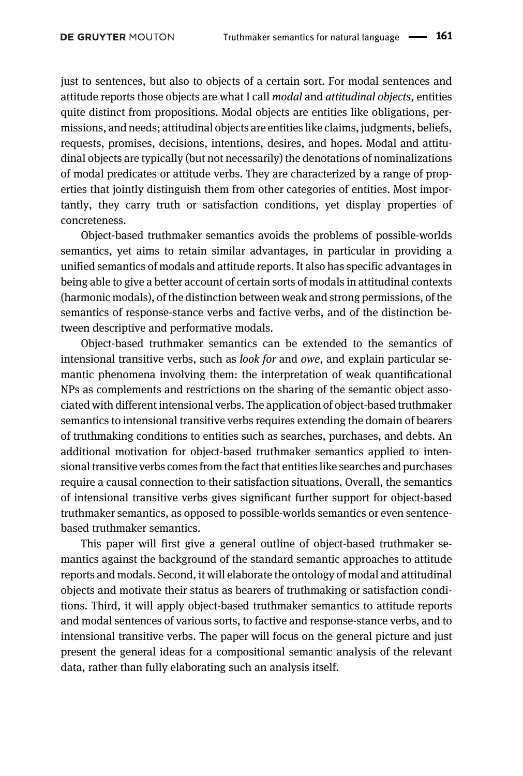just to sentences, but also to objects of a certain sort. For modal sentences and attitude reports those objects are what I call modal and attitudinal objects, entities quite distinct from propositions. Modal objects are entities like obligations, permissions, and needs; attitudinal objects are entities like claims, judgments, beliefs, requests, promises, decisions, intentions, desires, and hopes. Modal and attitudinal objects are typically (but not necessarily) the denotations of nominalizations of modal predicates or attitude verbs. They are characterized by a range of properties that jointly distinguish them from other categories of entities. Most importantly, they carry truth or satisfaction conditions, yet display properties of concreteness.

Object-based truthmaker semantics avoids the problems of possible-worlds semantics, yet aims to retain similar advantages, in particular in providing a unified semantics of modals and attitude reports. It also has specific advantages in being able to give a better account of certain sorts of modals in attitudinal contexts (harmonic modals), of the distinction between weak and strong permissions, of the semantics of response-stance verbs and factive verbs, and of the distinction between descriptive and performative modals.

Object-based truthmaker semantics can be extended to the semantics of intensional transitive verbs, such as look for and owe, and explain particular semantic phenomena involving them: the interpretation of weak quantificational NPs as complements and restrictions on the sharing of the semantic object associated with different intensional verbs. The application of object-based truthmaker semantics to intensional transitive verbs requires extending the domain of bearers of truthmaking conditions to entities such as searches, purchases, and debts. An additional motivation for object-based truthmaker semantics applied to intensional transitive verbs comes from the fact that entities like searches and purchases require a causal connection to their satisfaction situations. Overall, the semantics of intensional transitive verbs gives significant further support for object-based truthmaker semantics, as opposed to possible-worlds semantics or even sentencebased truthmaker semantics.

This paper will first give a general outline of object-based truthmaker semantics against the background of the standard semantic approaches to attitude reports and modals. Second, it will elaborate the ontology of modal and attitudinal objects and motivate their status as bearers of truthmaking or satisfaction conditions. Third, it will apply object-based truthmaker semantics to attitude reports and modal sentences of various sorts, to factive and response-stance verbs, and to intensional transitive verbs. The paper will focus on the general picture and just present the general ideas for a compositional semantic analysis of the relevant data, rather than fully elaborating such an analysis itself.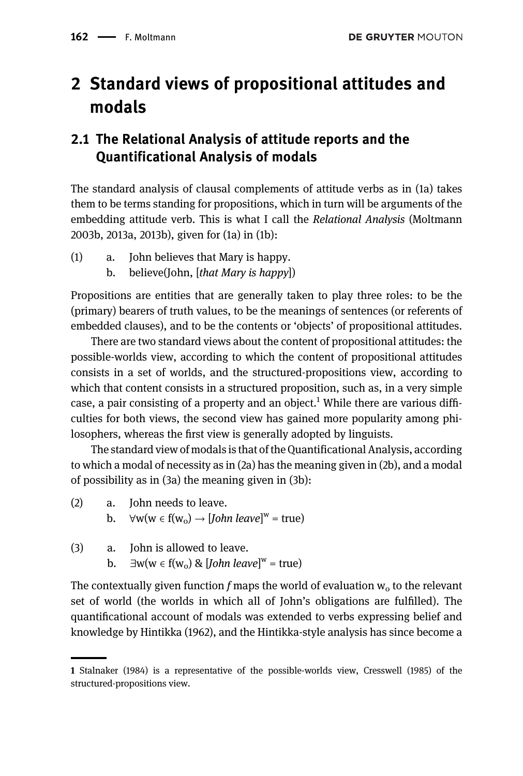# 2 Standard views of propositional attitudes and modals

### 2.1 The Relational Analysis of attitude reports and the Quantificational Analysis of modals

The standard analysis of clausal complements of attitude verbs as in (1a) takes them to be terms standing for propositions, which in turn will be arguments of the embedding attitude verb. This is what I call the Relational Analysis ([Moltmann](#page-40-2) [2003b](#page-40-2), [2013a](#page-41-5), [2013b\)](#page-40-3), given for (1a) in (1b):

- (1) a. John believes that Mary is happy.
	- b. believe(John, [that Mary is happy])

Propositions are entities that are generally taken to play three roles: to be the (primary) bearers of truth values, to be the meanings of sentences (or referents of embedded clauses), and to be the contents or 'objects' of propositional attitudes.

There are two standard views about the content of propositional attitudes: the possible-worlds view, according to which the content of propositional attitudes consists in a set of worlds, and the structured-propositions view, according to which that content consists in a structured proposition, such as, in a very simple case, a pair consisting of a property and an object.<sup>1</sup> While there are various difficulties for both views, the second view has gained more popularity among philosophers, whereas the first view is generally adopted by linguists.

The standard view of modals is that of the Quantificational Analysis, according to which a modal of necessity as in (2a) has the meaning given in (2b), and a modal of possibility as in (3a) the meaning given in (3b):

- (2) a. John needs to leave.
	- b.  $\forall w(w \in f(w_0) \rightarrow [John\ leave]^w = true)$
- (3) a. John is allowed to leave.
	- b.  $\exists w (w \in f(w_0) \& [John\ leave]^w = true)$

The contextually given function f maps the world of evaluation  $w_0$  to the relevant set of world (the worlds in which all of John's obligations are fulfilled). The quantificational account of modals was extended to verbs expressing belief and knowledge by [Hintikka \(1962\),](#page-40-12) and the Hintikka-style analysis has since become a

<sup>1</sup> [Stalnaker \(1984\)](#page-41-2) is a representative of the possible-worlds view, [Cresswell \(1985\)](#page-39-0) of the structured-propositions view.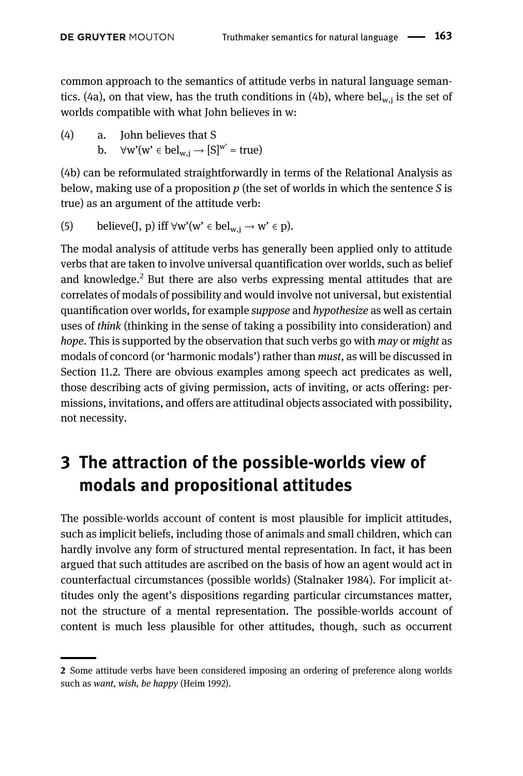common approach to the semantics of attitude verbs in natural language semantics. (4a), on that view, has the truth conditions in (4b), where bel<sub>w,j</sub> is the set of worlds compatible with what John believes in w:

(4) a. John believes that S b.  $\forall w'(w' \in \text{bel}_{w,j} \rightarrow [S]^{w'} = \text{true})$ 

(4b) can be reformulated straightforwardly in terms of the Relational Analysis as below, making use of a proposition  $p$  (the set of worlds in which the sentence  $S$  is true) as an argument of the attitude verb:

(5) believe(J, p) iff 
$$
\forall w'(w' \in bel_{w,j} \to w' \in p)
$$
.

The modal analysis of attitude verbs has generally been applied only to attitude verbs that are taken to involve universal quantification over worlds, such as belief and knowledge.<sup>2</sup> But there are also verbs expressing mental attitudes that are correlates of modals of possibility and would involve not universal, but existential quantification over worlds, for example suppose and hypothesize as well as certain uses of think (thinking in the sense of taking a possibility into consideration) and hope. This is supported by the observation that such verbs go with may or might as modals of concord (or 'harmonic modals') rather than must, as will be discussed in [Section 11.2.](#page-30-0) There are obvious examples among speech act predicates as well, those describing acts of giving permission, acts of inviting, or acts offering: permissions, invitations, and offers are attitudinal objects associated with possibility, not necessity.

# 3 The attraction of the possible-worlds view of modals and propositional attitudes

The possible-worlds account of content is most plausible for implicit attitudes, such as implicit beliefs, including those of animals and small children, which can hardly involve any form of structured mental representation. In fact, it has been argued that such attitudes are ascribed on the basis of how an agent would act in counterfactual circumstances (possible worlds) ([Stalnaker 1984](#page-41-2)). For implicit attitudes only the agent's dispositions regarding particular circumstances matter, not the structure of a mental representation. The possible-worlds account of content is much less plausible for other attitudes, though, such as occurrent

<sup>2</sup> Some attitude verbs have been considered imposing an ordering of preference along worlds such as want, wish, be happy [\(Heim 1992](#page-40-13)).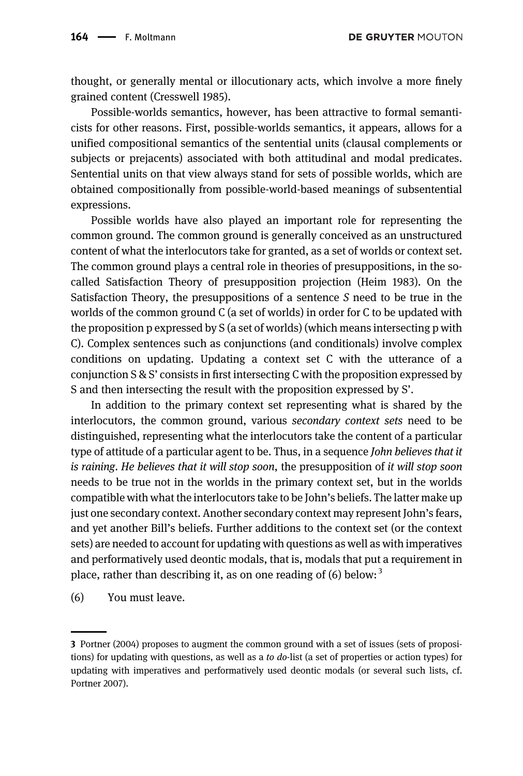**DE GRUYTER MOUTON** 

thought, or generally mental or illocutionary acts, which involve a more finely grained content [\(Cresswell 1985](#page-39-0)).

Possible-worlds semantics, however, has been attractive to formal semanticists for other reasons. First, possible-worlds semantics, it appears, allows for a unified compositional semantics of the sentential units (clausal complements or subjects or prejacents) associated with both attitudinal and modal predicates. Sentential units on that view always stand for sets of possible worlds, which are obtained compositionally from possible-world-based meanings of subsentential expressions.

Possible worlds have also played an important role for representing the common ground. The common ground is generally conceived as an unstructured content of what the interlocutors take for granted, as a set of worlds or context set. The common ground plays a central role in theories of presuppositions, in the socalled Satisfaction Theory of presupposition projection [\(Heim 1983](#page-40-14)). On the Satisfaction Theory, the presuppositions of a sentence S need to be true in the worlds of the common ground C (a set of worlds) in order for C to be updated with the proposition p expressed by S (a set of worlds) (which means intersecting p with C). Complex sentences such as conjunctions (and conditionals) involve complex conditions on updating. Updating a context set C with the utterance of a conjunction S & S' consists in first intersecting C with the proposition expressed by S and then intersecting the result with the proposition expressed by S'.

In addition to the primary context set representing what is shared by the interlocutors, the common ground, various secondary context sets need to be distinguished, representing what the interlocutors take the content of a particular type of attitude of a particular agent to be. Thus, in a sequence *John believes that it* is raining. He believes that it will stop soon, the presupposition of it will stop soon needs to be true not in the worlds in the primary context set, but in the worlds compatible with what the interlocutors take to be John's beliefs. The latter make up just one secondary context. Another secondary context may represent John's fears, and yet another Bill's beliefs. Further additions to the context set (or the context sets) are needed to account for updating with questions as well as with imperatives and performatively used deontic modals, that is, modals that put a requirement in place, rather than describing it, as on one reading of  $(6)$  below:<sup>3</sup>

(6) You must leave.

<sup>3</sup> [Portner \(2004\)](#page-41-6) proposes to augment the common ground with a set of issues (sets of propositions) for updating with questions, as well as a to do-list (a set of properties or action types) for updating with imperatives and performatively used deontic modals (or several such lists, cf. Portner 2007).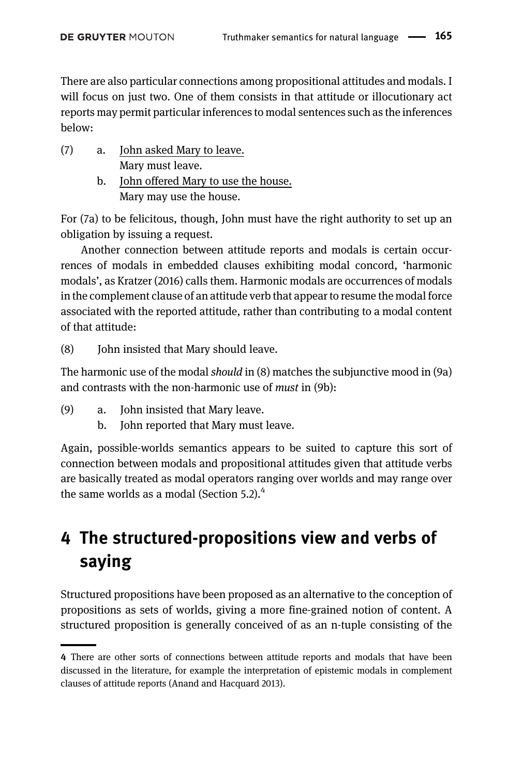There are also particular connections among propositional attitudes and modals. I will focus on just two. One of them consists in that attitude or illocutionary act reports may permit particular inferences to modal sentences such as the inferences below:

- (7) a. John asked Mary to leave. Mary must leave.
	- b. John offered Mary to use the house. Mary may use the house.

For (7a) to be felicitous, though, John must have the right authority to set up an obligation by issuing a request.

Another connection between attitude reports and modals is certain occurrences of modals in embedded clauses exhibiting modal concord, 'harmonic modals', as [Kratzer \(2016\)](#page-40-15) calls them. Harmonic modals are occurrences of modals in the complement clause of an attitude verb that appear to resume the modal force associated with the reported attitude, rather than contributing to a modal content of that attitude:

(8) John insisted that Mary should leave.

The harmonic use of the modal should in (8) matches the subjunctive mood in (9a) and contrasts with the non-harmonic use of must in (9b):

- (9) a. John insisted that Mary leave.
	- b. John reported that Mary must leave.

Again, possible-worlds semantics appears to be suited to capture this sort of connection between modals and propositional attitudes given that attitude verbs are basically treated as modal operators ranging over worlds and may range over the same worlds as a modal (Section  $5.2$ ).<sup>4</sup>

# <span id="page-6-0"></span>4 The structured-propositions view and verbs of saying

Structured propositions have been proposed as an alternative to the conception of propositions as sets of worlds, giving a more fine-grained notion of content. A structured proposition is generally conceived of as an n-tuple consisting of the

<sup>4</sup> There are other sorts of connections between attitude reports and modals that have been discussed in the literature, for example the interpretation of epistemic modals in complement clauses of attitude reports [\(Anand and Hacquard 2013](#page-39-3)).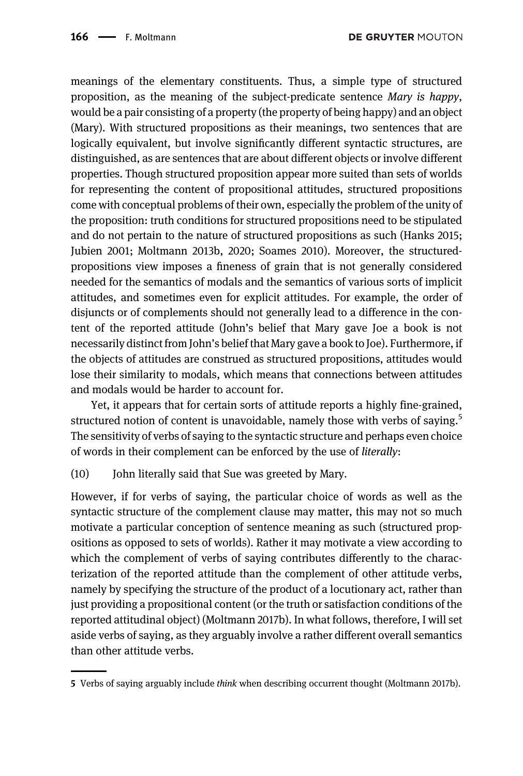meanings of the elementary constituents. Thus, a simple type of structured proposition, as the meaning of the subject-predicate sentence  $Many$  is happy, would be a pair consisting of a property (the property of being happy) and an object (Mary). With structured propositions as their meanings, two sentences that are logically equivalent, but involve significantly different syntactic structures, are distinguished, as are sentences that are about different objects or involve different properties. Though structured proposition appear more suited than sets of worlds for representing the content of propositional attitudes, structured propositions come with conceptual problems of their own, especially the problem of the unity of the proposition: truth conditions for structured propositions need to be stipulated and do not pertain to the nature of structured propositions as such [\(Hanks 2015;](#page-40-0) [Jubien 2001;](#page-40-1) [Moltmann 2013b,](#page-40-4) [2020;](#page-41-5) [Soames 2010\)](#page-41-4). Moreover, the structuredpropositions view imposes a fineness of grain that is not generally considered needed for the semantics of modals and the semantics of various sorts of implicit attitudes, and sometimes even for explicit attitudes. For example, the order of disjuncts or of complements should not generally lead to a difference in the content of the reported attitude (John's belief that Mary gave Joe a book is not necessarily distinct from John's belief that Mary gave a book to Joe). Furthermore, if the objects of attitudes are construed as structured propositions, attitudes would lose their similarity to modals, which means that connections between attitudes and modals would be harder to account for.

Yet, it appears that for certain sorts of attitude reports a highly fine-grained, structured notion of content is unavoidable, namely those with verbs of saying.<sup>5</sup> The sensitivity of verbs of saying to the syntactic structure and perhaps even choice of words in their complement can be enforced by the use of literally:

(10) John literally said that Sue was greeted by Mary.

However, if for verbs of saying, the particular choice of words as well as the syntactic structure of the complement clause may matter, this may not so much motivate a particular conception of sentence meaning as such (structured propositions as opposed to sets of worlds). Rather it may motivate a view according to which the complement of verbs of saying contributes differently to the characterization of the reported attitude than the complement of other attitude verbs, namely by specifying the structure of the product of a locutionary act, rather than just providing a propositional content (or the truth or satisfaction conditions of the reported attitudinal object) ([Moltmann 2017b\)](#page-40-16). In what follows, therefore, I will set aside verbs of saying, as they arguably involve a rather different overall semantics than other attitude verbs.

<sup>5</sup> Verbs of saying arguably include think when describing occurrent thought ([Moltmann 2017b](#page-40-16)).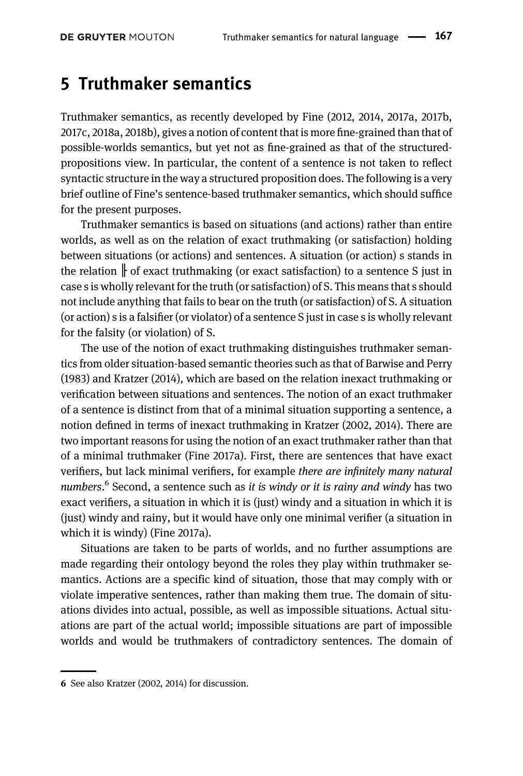### 5 Truthmaker semantics

Truthmaker semantics, as recently developed by [Fine \(2012](#page-39-2), [2014,](#page-40-6) [2017a](#page-40-7), [2017b](#page-40-8), [2017c](#page-40-9), [2018a,](#page-40-10) [2018b\),](#page-40-11) gives a notion of content that is more fine-grained than that of possible-worlds semantics, but yet not as fine-grained as that of the structuredpropositions view. In particular, the content of a sentence is not taken to reflect syntactic structure in the way a structured proposition does. The following is a very brief outline of Fine's sentence-based truthmaker semantics, which should suffice for the present purposes.

Truthmaker semantics is based on situations (and actions) rather than entire worlds, as well as on the relation of exact truthmaking (or satisfaction) holding between situations (or actions) and sentences. A situation (or action) s stands in the relation  $\mathbf{r}$  of exact truthmaking (or exact satisfaction) to a sentence S just in case s is wholly relevant for the truth (or satisfaction) of S. This means that s should not include anything that fails to bear on the truth (or satisfaction) of S. A situation (or action) s is a falsifier (or violator) of a sentence S just in case s is wholly relevant for the falsity (or violation) of S.

The use of the notion of exact truthmaking distinguishes truthmaker semantics from older situation-based semantic theories such as that of [Barwise and Perry](#page-39-1) [\(1983\)](#page-39-1) and [Kratzer \(2014\)](#page-40-5), which are based on the relation inexact truthmaking or verification between situations and sentences. The notion of an exact truthmaker of a sentence is distinct from that of a minimal situation supporting a sentence, a notion defined in terms of inexact truthmaking in [Kratzer \(2002,](#page-40-17) [2014\)](#page-40-5). There are two important reasons for using the notion of an exact truthmaker rather than that of a minimal truthmaker [\(Fine 2017a\)](#page-40-7). First, there are sentences that have exact verifiers, but lack minimal verifiers, for example there are infinitely many natural numbers.<sup>6</sup> Second, a sentence such as it is windy or it is rainy and windy has two exact verifiers, a situation in which it is (just) windy and a situation in which it is (just) windy and rainy, but it would have only one minimal verifier (a situation in which it is windy) [\(Fine 2017a](#page-40-7)).

Situations are taken to be parts of worlds, and no further assumptions are made regarding their ontology beyond the roles they play within truthmaker semantics. Actions are a specific kind of situation, those that may comply with or violate imperative sentences, rather than making them true. The domain of situations divides into actual, possible, as well as impossible situations. Actual situations are part of the actual world; impossible situations are part of impossible worlds and would be truthmakers of contradictory sentences. The domain of

<sup>6</sup> See also [Kratzer \(2002,](#page-40-17) [2014\)](#page-40-5) for discussion.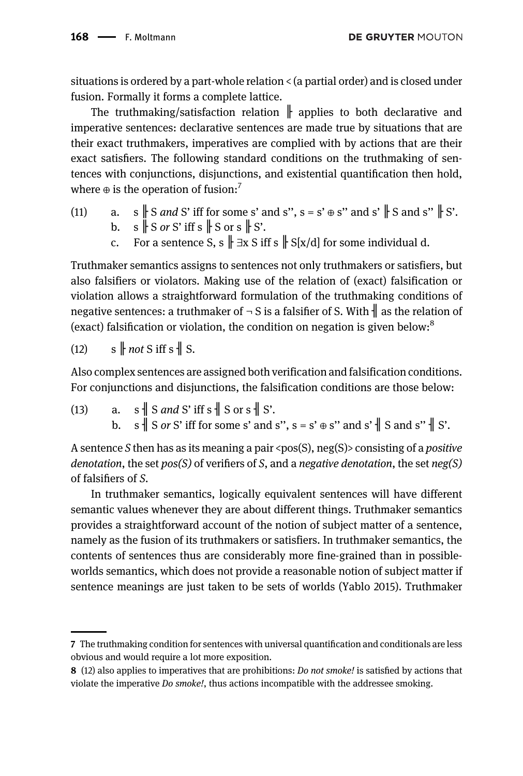**DE GRUYTER MOUTON** 

situations is ordered by a part-whole relation < (a partial order) and is closed under fusion. Formally it forms a complete lattice.

The truthmaking/satisfaction relation  $\|$  applies to both declarative and imperative sentences: declarative sentences are made true by situations that are their exact truthmakers, imperatives are complied with by actions that are their exact satisfiers. The following standard conditions on the truthmaking of sentences with conjunctions, disjunctions, and existential quantification then hold, where  $\oplus$  is the operation of fusion:<sup>7</sup>

- (11) a. s  $\parallel$  S *and* S' iff for some s' and s", s = s'  $\oplus$  s" and s'  $\parallel$  S and s"  $\parallel$  S'. b.  $s \parallel S$  or S' iff s  $\parallel S$  or  $s \parallel S'$ .
	- c. For a sentence S, s  $\parallel \exists x S$  iff s  $\parallel S[x/d]$  for some individual d.

Truthmaker semantics assigns to sentences not only truthmakers or satisfiers, but also falsifiers or violators. Making use of the relation of (exact) falsification or violation allows a straightforward formulation of the truthmaking conditions of negative sentences: a truthmaker of  $\neg$  S is a falsifier of S. With  $\parallel$  as the relation of (exact) falsification or violation, the condition on negation is given below:<sup>8</sup>

 $(12)$  s  $\parallel$  not S iff s  $\parallel$  S.

Also complex sentences are assigned both verification and falsification conditions. For conjunctions and disjunctions, the falsification conditions are those below:

(13) a. s  $\parallel$  S and S' iff s  $\parallel$  S or s  $\parallel$  S'. b.  $s \parallel S$  or S' iff for some s' and s",  $s = s' \oplus s''$  and s'  $\parallel S$  and s"  $\parallel S'$ .

A sentence S then has as its meaning a pair <pos(S), neg(S)> consisting of a *positive* denotation, the set  $pos(S)$  of verifiers of S, and a negative denotation, the set neg(S) of falsifiers of S.

In truthmaker semantics, logically equivalent sentences will have different semantic values whenever they are about different things. Truthmaker semantics provides a straightforward account of the notion of subject matter of a sentence, namely as the fusion of its truthmakers or satisfiers. In truthmaker semantics, the contents of sentences thus are considerably more fine-grained than in possibleworlds semantics, which does not provide a reasonable notion of subject matter if sentence meanings are just taken to be sets of worlds ([Yablo 2015\)](#page-41-7). Truthmaker

<sup>7</sup> The truthmaking condition for sentences with universal quantification and conditionals are less obvious and would require a lot more exposition.

<sup>8 (12)</sup> also applies to imperatives that are prohibitions: *Do not smoke!* is satisfied by actions that violate the imperative Do smoke!, thus actions incompatible with the addressee smoking.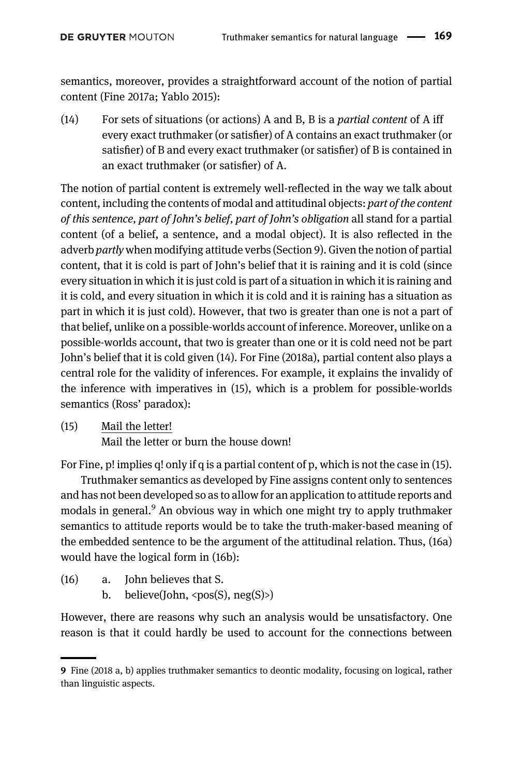semantics, moreover, provides a straightforward account of the notion of partial content [\(Fine 2017a](#page-40-7); [Yablo 2015](#page-41-7)):

 $(14)$  For sets of situations (or actions) A and B, B is a *partial content* of A iff every exact truthmaker (or satisfier) of A contains an exact truthmaker (or satisfier) of B and every exact truthmaker (or satisfier) of B is contained in an exact truthmaker (or satisfier) of A.

The notion of partial content is extremely well-reflected in the way we talk about content, including the contents of modal and attitudinal objects: part of the content of this sentence, part of John's belief, part of John's obligation all stand for a partial content (of a belief, a sentence, and a modal object). It is also reflected in the adverb partly when modifying attitude verbs [\(Section 9\)](#page-21-0). Given the notion of partial content, that it is cold is part of John's belief that it is raining and it is cold (since every situation in which it is just cold is part of a situation in which it is raining and it is cold, and every situation in which it is cold and it is raining has a situation as part in which it is just cold). However, that two is greater than one is not a part of that belief, unlike on a possible-worlds account of inference. Moreover, unlike on a possible-worlds account, that two is greater than one or it is cold need not be part John's belief that it is cold given (14). For [Fine \(2018a\)](#page-40-10), partial content also plays a central role for the validity of inferences. For example, it explains the invalidy of the inference with imperatives in (15), which is a problem for possible-worlds semantics (Ross' paradox):

(15) Mail the letter!

Mail the letter or burn the house down!

For Fine, p! implies q! only if q is a partial content of p, which is not the case in (15).

Truthmaker semantics as developed by Fine assigns content only to sentences and has not been developed so as to allow for an application to attitude reports and modals in general. $9$  An obvious way in which one might try to apply truthmaker semantics to attitude reports would be to take the truth-maker-based meaning of the embedded sentence to be the argument of the attitudinal relation. Thus, (16a) would have the logical form in (16b):

- (16) a. John believes that S.
	- b. believe(John,  $<$ pos(S), neg(S)>)

However, there are reasons why such an analysis would be unsatisfactory. One reason is that it could hardly be used to account for the connections between

<sup>9</sup> Fine (2018 [a,](#page-40-10) [b\)](#page-40-11) applies truthmaker semantics to deontic modality, focusing on logical, rather than linguistic aspects.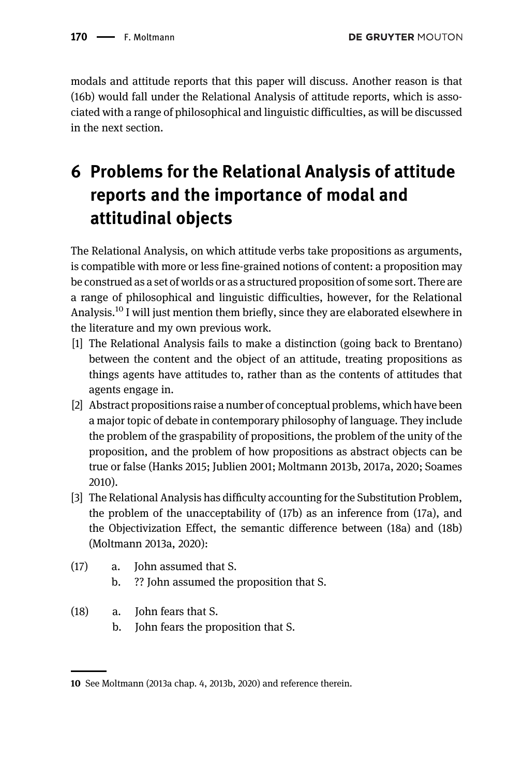modals and attitude reports that this paper will discuss. Another reason is that (16b) would fall under the Relational Analysis of attitude reports, which is associated with a range of philosophical and linguistic difficulties, as will be discussed in the next section.

# 6 Problems for the Relational Analysis of attitude reports and the importance of modal and attitudinal objects

The Relational Analysis, on which attitude verbs take propositions as arguments, is compatible with more or less fine-grained notions of content: a proposition may be construed as a set of worlds or as a structured proposition of some sort. There are a range of philosophical and linguistic difficulties, however, for the Relational Analysis.<sup>10</sup> I will just mention them briefly, since they are elaborated elsewhere in the literature and my own previous work.

- [1] The Relational Analysis fails to make a distinction (going back to Brentano) between the content and the object of an attitude, treating propositions as things agents have attitudes to, rather than as the contents of attitudes that agents engage in.
- [2] Abstract propositions raise a number of conceptual problems, which have been a major topic of debate in contemporary philosophy of language. They include the problem of the graspability of propositions, the problem of the unity of the proposition, and the problem of how propositions as abstract objects can be true or false ([Hanks 2015;](#page-40-0) [Jublien 2001;](#page-40-1) Moltmann [2013b,](#page-40-4) [2017a](#page-40-18), [2020](#page-41-5); [Soames](#page-41-4) [2010](#page-41-4)).
- [3] The Relational Analysis has difficulty accounting for the Substitution Problem, the problem of the unacceptability of (17b) as an inference from (17a), and the Objectivization Effect, the semantic difference between (18a) and (18b) ([Moltmann](#page-41-5) [2013a, 2020\)](#page-40-3):
- (17) a. John assumed that S.
	- b. ?? John assumed the proposition that S.
- (18) a. John fears that S.
	- b. John fears the proposition that S.

<sup>10</sup> See Moltmann [\(2013a](#page-40-3) chap. 4, [2013b,](#page-40-4) [2020](#page-41-5)) and reference therein.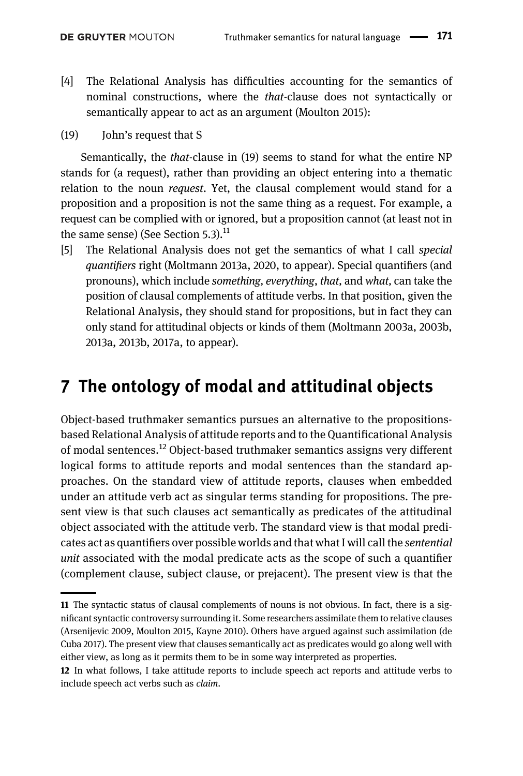- [4] The Relational Analysis has difficulties accounting for the semantics of nominal constructions, where the that-clause does not syntactically or semantically appear to act as an argument [\(Moulton 2015\)](#page-41-8):
- (19) John's request that S

Semantically, the that-clause in (19) seems to stand for what the entire NP stands for (a request), rather than providing an object entering into a thematic relation to the noun *request*. Yet, the clausal complement would stand for a proposition and a proposition is not the same thing as a request. For example, a request can be complied with or ignored, but a proposition cannot (at least not in the same sense) (See Section  $5.3$ ).<sup>11</sup>

[5] The Relational Analysis does not get the semantics of what I call special quantifiers right (Moltmann [2013a,](#page-40-3) [2020](#page-41-5), [to appear\)](#page-41-9). Special quantifiers (and pronouns), which include something, everything, that, and what, can take the position of clausal complements of attitude verbs. In that position, given the Relational Analysis, they should stand for propositions, but in fact they can only stand for attitudinal objects or kinds of them ([Moltmann 2003a](#page-41-9), [2003b](#page-41-5), [2013a,](#page-40-3) [2013b](#page-40-4), [2017a](#page-40-18), [to appear\)](#page-41-9).

## 7 The ontology of modal and attitudinal objects

Object-based truthmaker semantics pursues an alternative to the propositionsbased Relational Analysis of attitude reports and to the Quantificational Analysis of modal sentences.<sup>12</sup> Object-based truthmaker semantics assigns very different logical forms to attitude reports and modal sentences than the standard approaches. On the standard view of attitude reports, clauses when embedded under an attitude verb act as singular terms standing for propositions. The present view is that such clauses act semantically as predicates of the attitudinal object associated with the attitude verb. The standard view is that modal predicates act as quantifiers over possible worlds and that what I will call the sentential unit associated with the modal predicate acts as the scope of such a quantifier (complement clause, subject clause, or prejacent). The present view is that the

<sup>11</sup> The syntactic status of clausal complements of nouns is not obvious. In fact, there is a significant syntactic controversy surrounding it. Some researchers assimilate them to relative clauses ([Arsenijevic 2009](#page-39-4), [Moulton 2015](#page-41-8), [Kayne 2010](#page-40-19)). Others have argued against such assimilation ([de](#page-39-5) [Cuba 2017](#page-39-5)). The present view that clauses semantically act as predicates would go along well with either view, as long as it permits them to be in some way interpreted as properties.

<sup>12</sup> In what follows, I take attitude reports to include speech act reports and attitude verbs to include speech act verbs such as claim.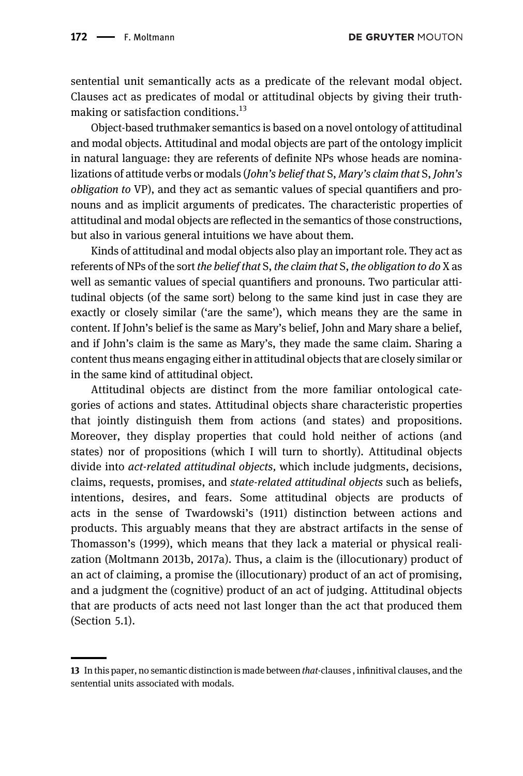sentential unit semantically acts as a predicate of the relevant modal object. Clauses act as predicates of modal or attitudinal objects by giving their truthmaking or satisfaction conditions.<sup>13</sup>

Object-based truthmaker semantics is based on a novel ontology of attitudinal and modal objects. Attitudinal and modal objects are part of the ontology implicit in natural language: they are referents of definite NPs whose heads are nominalizations of attitude verbs or modals (John's belief that S, Mary's claim that S, John's obligation to VP), and they act as semantic values of special quantifiers and pronouns and as implicit arguments of predicates. The characteristic properties of attitudinal and modal objects are reflected in the semantics of those constructions, but also in various general intuitions we have about them.

Kinds of attitudinal and modal objects also play an important role. They act as referents of NPs of the sort the belief that S, the claim that S, the obligation to do X as well as semantic values of special quantifiers and pronouns. Two particular attitudinal objects (of the same sort) belong to the same kind just in case they are exactly or closely similar ('are the same'), which means they are the same in content. If John's belief is the same as Mary's belief, John and Mary share a belief, and if John's claim is the same as Mary's, they made the same claim. Sharing a content thus means engaging either in attitudinal objects that are closely similar or in the same kind of attitudinal object.

Attitudinal objects are distinct from the more familiar ontological categories of actions and states. Attitudinal objects share characteristic properties that jointly distinguish them from actions (and states) and propositions. Moreover, they display properties that could hold neither of actions (and states) nor of propositions (which I will turn to shortly). Attitudinal objects divide into act-related attitudinal objects, which include judgments, decisions, claims, requests, promises, and state-related attitudinal objects such as beliefs, intentions, desires, and fears. Some attitudinal objects are products of acts in the sense of [Twardowski](#page-41-10)'s (1911) distinction between actions and products. This arguably means that they are abstract artifacts in the sense of [Thomasson](#page-41-11)'s (1999), which means that they lack a material or physical realization [\(Moltmann 2013b](#page-40-4), [2017a\)](#page-40-18). Thus, a claim is the (illocutionary) product of an act of claiming, a promise the (illocutionary) product of an act of promising, and a judgment the (cognitive) product of an act of judging. Attitudinal objects that are products of acts need not last longer than the act that produced them (Section 5.1).

<sup>13</sup> In this paper, no semantic distinction is made between *that*-clauses, infinitival clauses, and the sentential units associated with modals.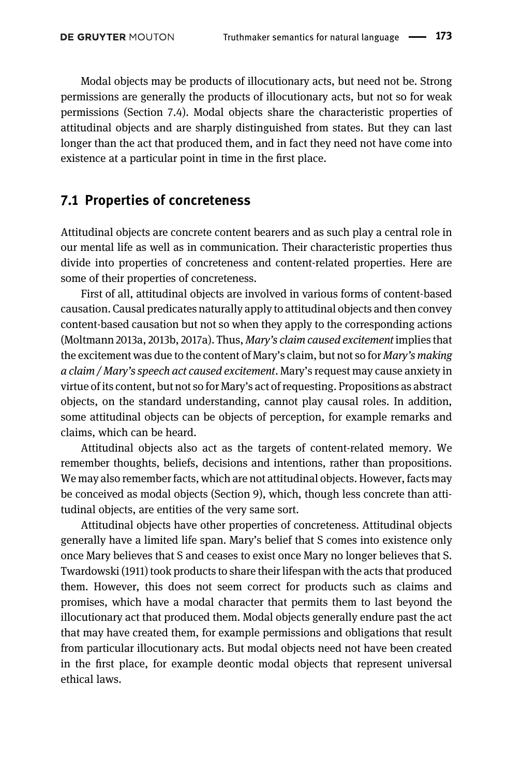Modal objects may be products of illocutionary acts, but need not be. Strong permissions are generally the products of illocutionary acts, but not so for weak permissions [\(Section 7.4](#page-19-0)). Modal objects share the characteristic properties of attitudinal objects and are sharply distinguished from states. But they can last longer than the act that produced them, and in fact they need not have come into existence at a particular point in time in the first place.

#### 7.1 Properties of concreteness

Attitudinal objects are concrete content bearers and as such play a central role in our mental life as well as in communication. Their characteristic properties thus divide into properties of concreteness and content-related properties. Here are some of their properties of concreteness.

First of all, attitudinal objects are involved in various forms of content-based causation. Causal predicates naturally apply to attitudinal objects and then convey content-based causation but not so when they apply to the corresponding actions [\(Moltmann 2013a](#page-41-9), [2013b,](#page-40-4) [2017a\)](#page-40-18). Thus, Mary's claim caused excitement implies that the excitement was due to the content of Mary's claim, but not so for Mary's making a claim / Mary's speech act caused excitement. Mary's request may cause anxiety in virtue of its content, but not so for Mary's act of requesting. Propositions as abstract objects, on the standard understanding, cannot play causal roles. In addition, some attitudinal objects can be objects of perception, for example remarks and claims, which can be heard.

Attitudinal objects also act as the targets of content-related memory. We remember thoughts, beliefs, decisions and intentions, rather than propositions. We may also remember facts, which are not attitudinal objects. However, facts may be conceived as modal objects [\(Section 9\)](#page-21-0), which, though less concrete than attitudinal objects, are entities of the very same sort.

Attitudinal objects have other properties of concreteness. Attitudinal objects generally have a limited life span. Mary's belief that S comes into existence only once Mary believes that S and ceases to exist once Mary no longer believes that S. [Twardowski \(1911\)](#page-41-10) took products to share their lifespan with the acts that produced them. However, this does not seem correct for products such as claims and promises, which have a modal character that permits them to last beyond the illocutionary act that produced them. Modal objects generally endure past the act that may have created them, for example permissions and obligations that result from particular illocutionary acts. But modal objects need not have been created in the first place, for example deontic modal objects that represent universal ethical laws.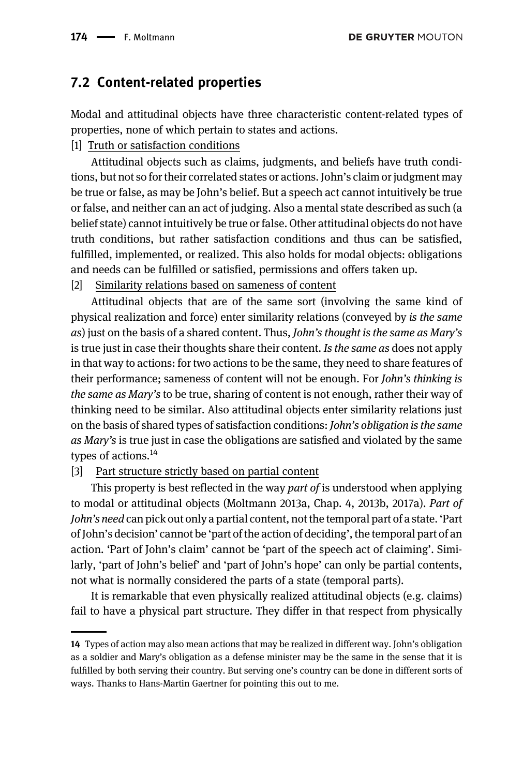#### 7.2 Content-related properties

Modal and attitudinal objects have three characteristic content-related types of properties, none of which pertain to states and actions.

#### [1] Truth or satisfaction conditions

Attitudinal objects such as claims, judgments, and beliefs have truth conditions, but not so for their correlated states or actions. John's claim or judgment may be true or false, as may be John's belief. But a speech act cannot intuitively be true or false, and neither can an act of judging. Also a mental state described as such (a belief state) cannot intuitively be true or false. Other attitudinal objects do not have truth conditions, but rather satisfaction conditions and thus can be satisfied, fulfilled, implemented, or realized. This also holds for modal objects: obligations and needs can be fulfilled or satisfied, permissions and offers taken up.

[2] Similarity relations based on sameness of content

Attitudinal objects that are of the same sort (involving the same kind of physical realization and force) enter similarity relations (conveyed by is the same as) just on the basis of a shared content. Thus, John's thought is the same as Mary's is true just in case their thoughts share their content. Is the same as does not apply in that way to actions: for two actions to be the same, they need to share features of their performance; sameness of content will not be enough. For John's thinking is the same as Mary's to be true, sharing of content is not enough, rather their way of thinking need to be similar. Also attitudinal objects enter similarity relations just on the basis of shared types of satisfaction conditions: John's obligation is the same as Mary's is true just in case the obligations are satisfied and violated by the same types of actions. $^{14}$ 

#### [3] Part structure strictly based on partial content

This property is best reflected in the way part of is understood when applying to modal or attitudinal objects ([Moltmann 2013a](#page-40-3), Chap. 4, [2013b](#page-40-4), [2017a](#page-40-18)). Part of John's need can pick out only a partial content, not the temporal part of a state. 'Part of John's decision' cannot be 'part of the action of deciding', the temporal part of an action. 'Part of John's claim' cannot be 'part of the speech act of claiming'. Similarly, 'part of John's belief' and 'part of John's hope' can only be partial contents, not what is normally considered the parts of a state (temporal parts).

It is remarkable that even physically realized attitudinal objects (e.g. claims) fail to have a physical part structure. They differ in that respect from physically

<sup>14</sup> Types of action may also mean actions that may be realized in different way. John's obligation as a soldier and Mary's obligation as a defense minister may be the same in the sense that it is fulfilled by both serving their country. But serving one's country can be done in different sorts of ways. Thanks to Hans-Martin Gaertner for pointing this out to me.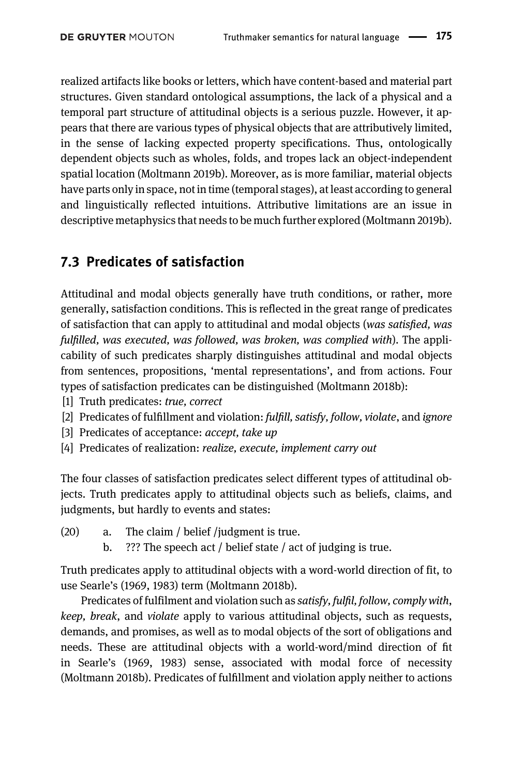realized artifacts like books or letters, which have content-based and material part structures. Given standard ontological assumptions, the lack of a physical and a temporal part structure of attitudinal objects is a serious puzzle. However, it appears that there are various types of physical objects that are attributively limited, in the sense of lacking expected property specifications. Thus, ontologically dependent objects such as wholes, folds, and tropes lack an object-independent spatial location ([Moltmann 2019b\)](#page-41-12). Moreover, as is more familiar, material objects have parts only in space, not in time (temporal stages), at least according to general and linguistically reflected intuitions. Attributive limitations are an issue in descriptive metaphysics that needs to be much further explored [\(Moltmann 2019b](#page-41-12)).

### 7.3 Predicates of satisfaction

Attitudinal and modal objects generally have truth conditions, or rather, more generally, satisfaction conditions. This is reflected in the great range of predicates of satisfaction that can apply to attitudinal and modal objects (was satisfied, was fulfilled, was executed, was followed, was broken, was complied with). The applicability of such predicates sharply distinguishes attitudinal and modal objects from sentences, propositions, 'mental representations', and from actions. Four types of satisfaction predicates can be distinguished [\(Moltmann 2018b\)](#page-41-13):

- [1] Truth predicates: true, correct
- [2] Predicates of fulfillment and violation: fulfill, satisfy, follow, violate, and ignore
- [3] Predicates of acceptance: *accept*, take up
- [4] Predicates of realization: realize, execute, implement carry out

The four classes of satisfaction predicates select different types of attitudinal objects. Truth predicates apply to attitudinal objects such as beliefs, claims, and judgments, but hardly to events and states:

- (20) a. The claim / belief /judgment is true.
	- b. ??? The speech act / belief state / act of judging is true.

Truth predicates apply to attitudinal objects with a word-world direction of fit, to use Searle'[s \(1969](#page-41-14), [1983\)](#page-41-15) term [\(Moltmann 2018b](#page-41-13)).

Predicates of fulfilment and violation such as satisfy, fulfil, follow, comply with, keep, break, and violate apply to various attitudinal objects, such as requests, demands, and promises, as well as to modal objects of the sort of obligations and needs. These are attitudinal objects with a world-word/mind direction of fit in Searle'[s \(1969,](#page-41-14) [1983](#page-41-15)) sense, associated with modal force of necessity [\(Moltmann 2018b\)](#page-41-13). Predicates of fulfillment and violation apply neither to actions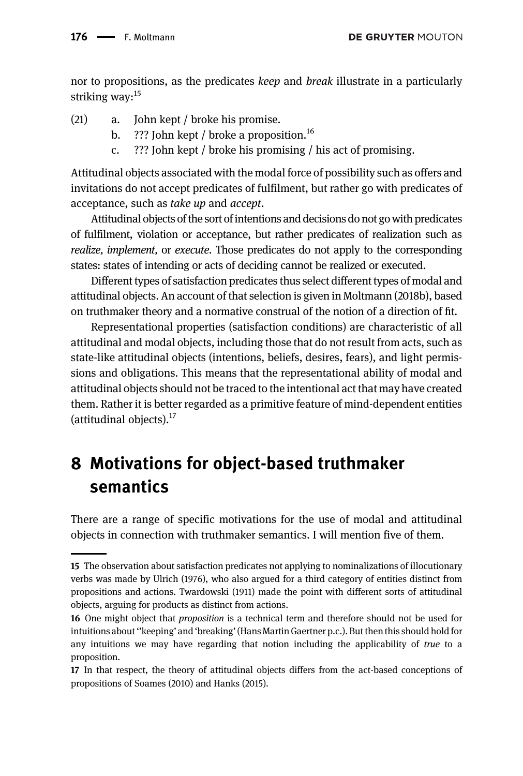nor to propositions, as the predicates *keep* and *break* illustrate in a particularly striking way:<sup>15</sup>

- (21) a. John kept / broke his promise.
	- b. ??? John kept / broke a proposition.<sup>16</sup>
	- c. ??? John kept / broke his promising / his act of promising.

Attitudinal objects associated with the modal force of possibility such as offers and invitations do not accept predicates of fulfilment, but rather go with predicates of acceptance, such as take up and accept.

Attitudinal objects of the sort of intentions and decisions do not go with predicates of fulfilment, violation or acceptance, but rather predicates of realization such as realize, implement, or execute. Those predicates do not apply to the corresponding states: states of intending or acts of deciding cannot be realized or executed.

Different types of satisfaction predicates thus select different types of modal and attitudinal objects. An account of that selection is given in [Moltmann \(2018b\)](#page-41-13), based on truthmaker theory and a normative construal of the notion of a direction of fit.

Representational properties (satisfaction conditions) are characteristic of all attitudinal and modal objects, including those that do not result from acts, such as state-like attitudinal objects (intentions, beliefs, desires, fears), and light permissions and obligations. This means that the representational ability of modal and attitudinal objects should not be traced to the intentional act that may have created them. Rather it is better regarded as a primitive feature of mind-dependent entities (attitudinal objects). $17$ 

# 8 Motivations for object-based truthmaker semantics

There are a range of specific motivations for the use of modal and attitudinal objects in connection with truthmaker semantics. I will mention five of them.

<sup>15</sup> The observation about satisfaction predicates not applying to nominalizations of illocutionary verbs was made by [Ulrich \(1976\),](#page-41-16) who also argued for a third category of entities distinct from propositions and actions. [Twardowski \(1911\)](#page-41-10) made the point with different sorts of attitudinal objects, arguing for products as distinct from actions.

<sup>16</sup> One might object that *proposition* is a technical term and therefore should not be used for intuitions about''keeping' and 'breaking'(Hans Martin Gaertner p.c.). But then this should hold for any intuitions we may have regarding that notion including the applicability of true to a proposition.

<sup>17</sup> In that respect, the theory of attitudinal objects differs from the act-based conceptions of propositions of [Soames \(2010\)](#page-41-4) and [Hanks \(2015\)](#page-40-0).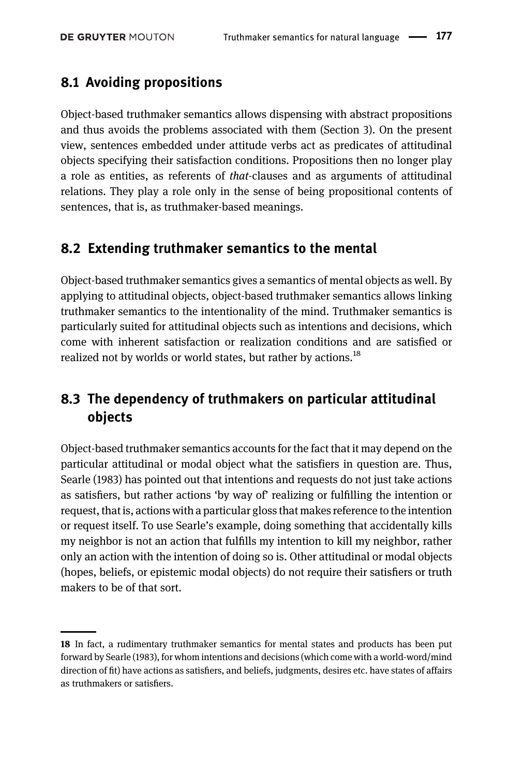#### 8.1 Avoiding propositions

Object-based truthmaker semantics allows dispensing with abstract propositions and thus avoids the problems associated with them [\(Section 3\)](#page-6-0). On the present view, sentences embedded under attitude verbs act as predicates of attitudinal objects specifying their satisfaction conditions. Propositions then no longer play a role as entities, as referents of that-clauses and as arguments of attitudinal relations. They play a role only in the sense of being propositional contents of sentences, that is, as truthmaker-based meanings.

#### 8.2 Extending truthmaker semantics to the mental

Object-based truthmaker semantics gives a semantics of mental objects as well. By applying to attitudinal objects, object-based truthmaker semantics allows linking truthmaker semantics to the intentionality of the mind. Truthmaker semantics is particularly suited for attitudinal objects such as intentions and decisions, which come with inherent satisfaction or realization conditions and are satisfied or realized not by worlds or world states, but rather by actions.<sup>18</sup>

### 8.3 The dependency of truthmakers on particular attitudinal objects

Object-based truthmaker semantics accounts for the fact that it may depend on the particular attitudinal or modal object what the satisfiers in question are. Thus, [Searle \(1983\)](#page-41-15) has pointed out that intentions and requests do not just take actions as satisfiers, but rather actions 'by way of' realizing or fulfilling the intention or request, that is, actions with a particular gloss that makes reference to the intention or request itself. To use Searle's example, doing something that accidentally kills my neighbor is not an action that fulfills my intention to kill my neighbor, rather only an action with the intention of doing so is. Other attitudinal or modal objects (hopes, beliefs, or epistemic modal objects) do not require their satisfiers or truth makers to be of that sort.

<sup>18</sup> In fact, a rudimentary truthmaker semantics for mental states and products has been put forward by [Searle \(1983\),](#page-41-15) for whom intentions and decisions (which come with a world-word/mind direction of fit) have actions as satisfiers, and beliefs, judgments, desires etc. have states of affairs as truthmakers or satisfiers.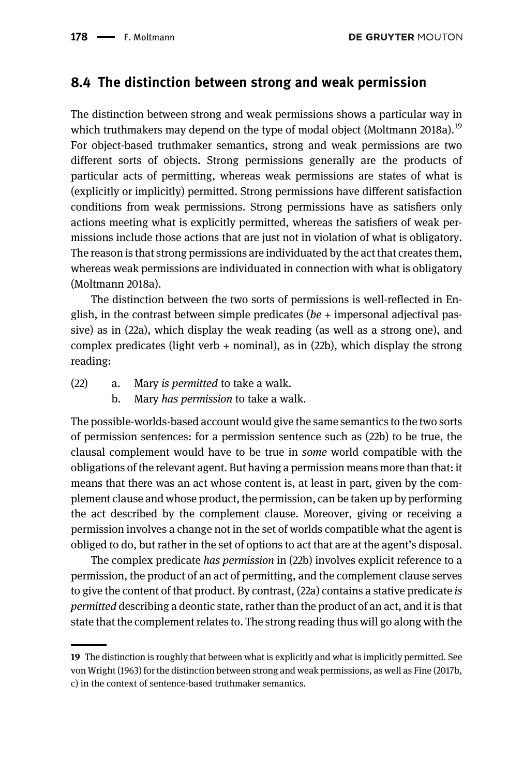#### <span id="page-19-0"></span>8.4 The distinction between strong and weak permission

The distinction between strong and weak permissions shows a particular way in which truthmakers may depend on the type of modal object ([Moltmann 2018a](#page-41-17)).<sup>19</sup> For object-based truthmaker semantics, strong and weak permissions are two different sorts of objects. Strong permissions generally are the products of particular acts of permitting, whereas weak permissions are states of what is (explicitly or implicitly) permitted. Strong permissions have different satisfaction conditions from weak permissions. Strong permissions have as satisfiers only actions meeting what is explicitly permitted, whereas the satisfiers of weak permissions include those actions that are just not in violation of what is obligatory. The reason is that strong permissions are individuated by the act that creates them, whereas weak permissions are individuated in connection with what is obligatory ([Moltmann 2018a\)](#page-41-17).

The distinction between the two sorts of permissions is well-reflected in English, in the contrast between simple predicates ( $be +$  impersonal adjectival passive) as in (22a), which display the weak reading (as well as a strong one), and complex predicates (light verb  $+$  nominal), as in (22b), which display the strong reading:

- (22) a. Mary is permitted to take a walk.
	- b. Mary has permission to take a walk.

The possible-worlds-based account would give the same semantics to the two sorts of permission sentences: for a permission sentence such as (22b) to be true, the clausal complement would have to be true in some world compatible with the obligations of the relevant agent. But having a permission means more than that: it means that there was an act whose content is, at least in part, given by the complement clause and whose product, the permission, can be taken up by performing the act described by the complement clause. Moreover, giving or receiving a permission involves a change not in the set of worlds compatible what the agent is obliged to do, but rather in the set of options to act that are at the agent's disposal.

The complex predicate has permission in (22b) involves explicit reference to a permission, the product of an act of permitting, and the complement clause serves to give the content of that product. By contrast, (22a) contains a stative predicate is permitted describing a deontic state, rather than the product of an act, and it is that state that the complement relates to. The strong reading thus will go along with the

<sup>19</sup> The distinction is roughly that between what is explicitly and what is implicitly permitted. See [von Wright \(1963\)](#page-41-18) for the distinction between strong and weak permissions, as well as [Fine \(2017b](#page-40-8), [c\)](#page-40-9) in the context of sentence-based truthmaker semantics.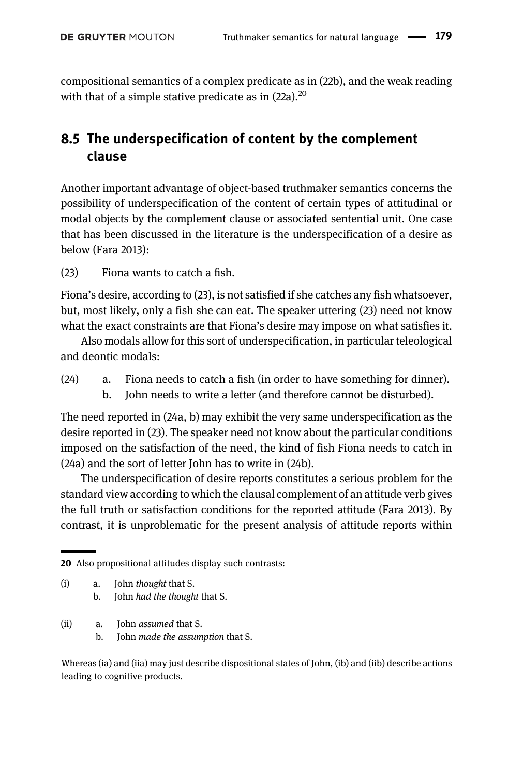compositional semantics of a complex predicate as in (22b), and the weak reading with that of a simple stative predicate as in  $(22a)$ .<sup>20</sup>

### 8.5 The underspecification of content by the complement clause

Another important advantage of object-based truthmaker semantics concerns the possibility of underspecification of the content of certain types of attitudinal or modal objects by the complement clause or associated sentential unit. One case that has been discussed in the literature is the underspecification of a desire as below [\(Fara 2013\)](#page-39-6):

(23) Fiona wants to catch a fish.

Fiona's desire, according to (23), is not satisfied if she catches any fish whatsoever, but, most likely, only a fish she can eat. The speaker uttering (23) need not know what the exact constraints are that Fiona's desire may impose on what satisfies it.

Also modals allow for this sort of underspecification, in particular teleological and deontic modals:

- (24) a. Fiona needs to catch a fish (in order to have something for dinner).
	- b. John needs to write a letter (and therefore cannot be disturbed).

The need reported in (24a, b) may exhibit the very same underspecification as the desire reported in (23). The speaker need not know about the particular conditions imposed on the satisfaction of the need, the kind of fish Fiona needs to catch in (24a) and the sort of letter John has to write in (24b).

The underspecification of desire reports constitutes a serious problem for the standard view according to which the clausal complement of an attitude verb gives the full truth or satisfaction conditions for the reported attitude [\(Fara 2013\)](#page-39-6). By contrast, it is unproblematic for the present analysis of attitude reports within

- (i) a. John thought that S. b. John had the thought that S.
- (ii) a. John assumed that S.
	- b. John made the assumption that S.

Whereas (ia) and (iia) may just describe dispositional states of John, (ib) and (iib) describe actions leading to cognitive products.

<sup>20</sup> Also propositional attitudes display such contrasts: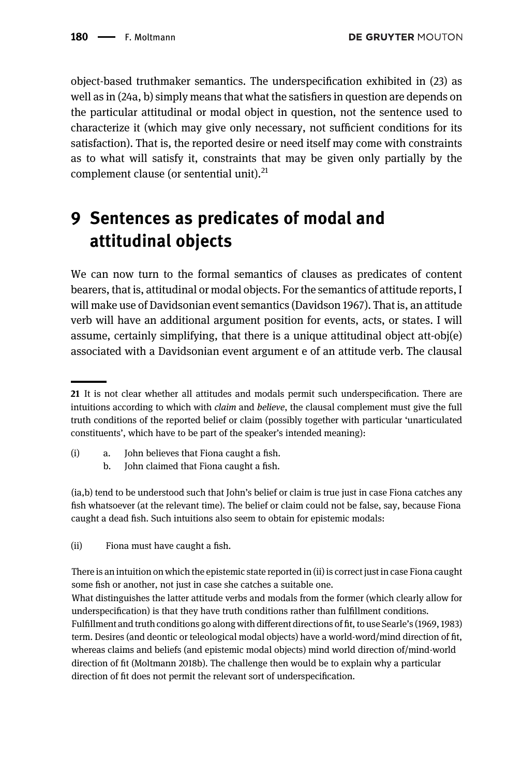object-based truthmaker semantics. The underspecification exhibited in (23) as well as in (24a, b) simply means that what the satisfiers in question are depends on the particular attitudinal or modal object in question, not the sentence used to characterize it (which may give only necessary, not sufficient conditions for its satisfaction). That is, the reported desire or need itself may come with constraints as to what will satisfy it, constraints that may be given only partially by the complement clause (or sentential unit). $^{21}$ 

## <span id="page-21-0"></span>9 Sentences as predicates of modal and attitudinal objects

We can now turn to the formal semantics of clauses as predicates of content bearers, that is, attitudinal or modal objects. For the semantics of attitude reports, I will make use of Davidsonian event semantics ([Davidson 1967](#page-39-7)). That is, an attitude verb will have an additional argument position for events, acts, or states. I will assume, certainly simplifying, that there is a unique attitudinal object att-obj(e) associated with a Davidsonian event argument e of an attitude verb. The clausal

- (i) a. John believes that Fiona caught a fish.
	- b. John claimed that Fiona caught a fish.

(ia,b) tend to be understood such that John's belief or claim is true just in case Fiona catches any fish whatsoever (at the relevant time). The belief or claim could not be false, say, because Fiona caught a dead fish. Such intuitions also seem to obtain for epistemic modals:

(ii) Fiona must have caught a fish.

There is an intuition on which the epistemic state reported in (ii) is correct just in case Fiona caught some fish or another, not just in case she catches a suitable one.

What distinguishes the latter attitude verbs and modals from the former (which clearly allow for underspecification) is that they have truth conditions rather than fulfillment conditions. Fulfillment and truth conditions go along with different directions of fit, to use Searle'[s \(1969,](#page-41-14) [1983\)](#page-41-15) term. Desires (and deontic or teleological modal objects) have a world-word/mind direction of fit, whereas claims and beliefs (and epistemic modal objects) mind world direction of/mind-world direction of fit [\(Moltmann 2018b\)](#page-40-20). The challenge then would be to explain why a particular direction of fit does not permit the relevant sort of underspecification.

<sup>21</sup> It is not clear whether all attitudes and modals permit such underspecification. There are intuitions according to which with *claim* and *believe*, the clausal complement must give the full truth conditions of the reported belief or claim (possibly together with particular 'unarticulated constituents', which have to be part of the speaker's intended meaning):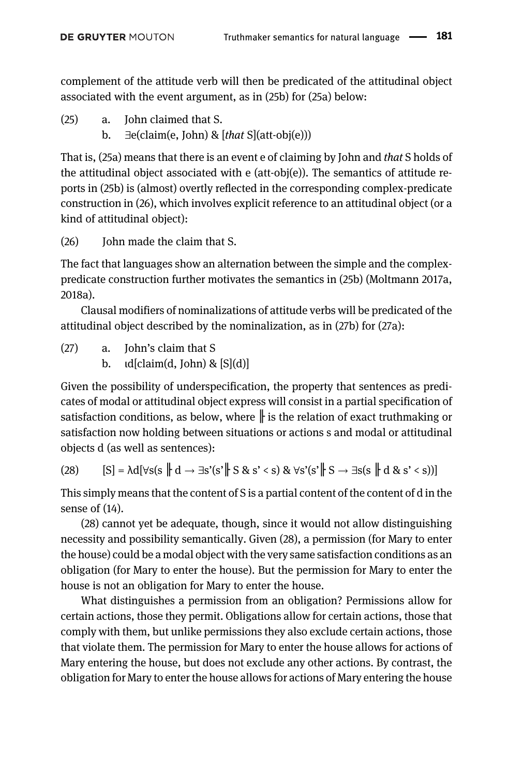complement of the attitude verb will then be predicated of the attitudinal object associated with the event argument, as in (25b) for (25a) below:

- (25) a. John claimed that S.
	- b.  $\exists$ e(claim(e, John) & [that S](att-obj(e)))

That is, (25a) means that there is an event e of claiming by John and that S holds of the attitudinal object associated with e (att-obj(e)). The semantics of attitude reports in (25b) is (almost) overtly reflected in the corresponding complex-predicate construction in (26), which involves explicit reference to an attitudinal object (or a kind of attitudinal object):

(26) John made the claim that S.

The fact that languages show an alternation between the simple and the complexpredicate construction further motivates the semantics in (25b) [\(Moltmann 2017a](#page-40-18), [2018a](#page-41-17)).

Clausal modifiers of nominalizations of attitude verbs will be predicated of the attitudinal object described by the nominalization, as in (27b) for (27a):

- (27) a. John's claim that S
	- b.  $\text{Id}[claim(d, John) \& [S](d)]$

Given the possibility of underspecification, the property that sentences as predicates of modal or attitudinal object express will consist in a partial specification of satisfaction conditions, as below, where  $\|$  is the relation of exact truthmaking or satisfaction now holding between situations or actions s and modal or attitudinal objects d (as well as sentences):

$$
(28) \qquad [S] = \lambda d[\forall s(s \parallel d \rightarrow \exists s'(s' \parallel S \& s' < s) \& \forall s'(s' \parallel S \rightarrow \exists s(s \parallel d \& s' < s))]
$$

This simply means that the content of S is a partial content of the content of d in the sense of (14).

(28) cannot yet be adequate, though, since it would not allow distinguishing necessity and possibility semantically. Given (28), a permission (for Mary to enter the house) could be a modal object with the very same satisfaction conditions as an obligation (for Mary to enter the house). But the permission for Mary to enter the house is not an obligation for Mary to enter the house.

What distinguishes a permission from an obligation? Permissions allow for certain actions, those they permit. Obligations allow for certain actions, those that comply with them, but unlike permissions they also exclude certain actions, those that violate them. The permission for Mary to enter the house allows for actions of Mary entering the house, but does not exclude any other actions. By contrast, the obligation for Mary to enter the house allows for actions of Mary entering the house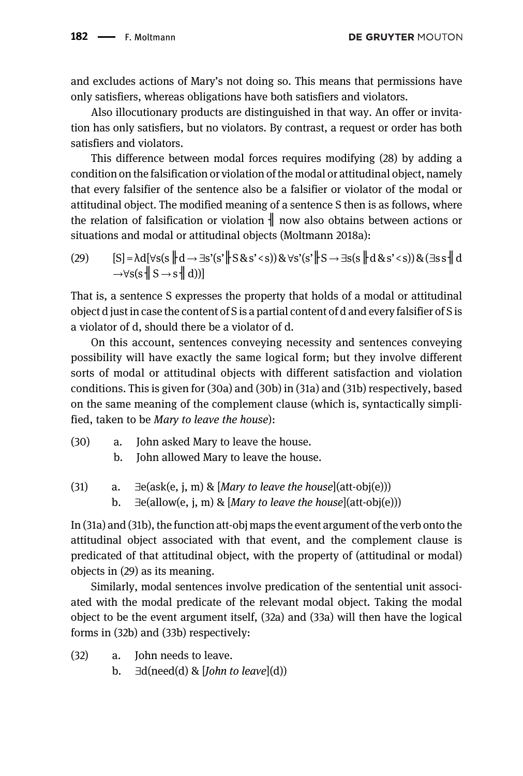and excludes actions of Mary's not doing so. This means that permissions have only satisfiers, whereas obligations have both satisfiers and violators.

Also illocutionary products are distinguished in that way. An offer or invitation has only satisfiers, but no violators. By contrast, a request or order has both satisfiers and violators.

This difference between modal forces requires modifying (28) by adding a condition on the falsification or violation of the modal or attitudinal object, namely that every falsifier of the sentence also be a falsifier or violator of the modal or attitudinal object. The modified meaning of a sentence S then is as follows, where the relation of falsification or violation  $\parallel$  now also obtains between actions or situations and modal or attitudinal objects [\(Moltmann 2018a\)](#page-41-17):

(29)  $[S] = \lambda d[\forall s(s \Vert d \rightarrow \exists s'(s' \Vert S \& s' < s)) \& \forall s'(s' \Vert S \rightarrow \exists s(s \Vert d \& s' < s)) \& (\exists s s \Vert d$  $\rightarrow \forall s(s \parallel S \rightarrow s \parallel d))$ 

That is, a sentence S expresses the property that holds of a modal or attitudinal object d just in case the content of S is a partial content of d and every falsifier of S is a violator of d, should there be a violator of d.

On this account, sentences conveying necessity and sentences conveying possibility will have exactly the same logical form; but they involve different sorts of modal or attitudinal objects with different satisfaction and violation conditions. This is given for (30a) and (30b) in (31a) and (31b) respectively, based on the same meaning of the complement clause (which is, syntactically simplified, taken to be Mary to leave the house):

- (30) a. John asked Mary to leave the house.
	- b. John allowed Mary to leave the house.
- (31) a.  $\exists$ e(ask(e, j, m) & [Mary to leave the house](att-obj(e))) b.  $\exists$ e(allow(e, j, m) & [*Mary to leave the house*](att-obj(e)))

In (31a) and (31b), the function att-obj maps the event argument of the verb onto the attitudinal object associated with that event, and the complement clause is predicated of that attitudinal object, with the property of (attitudinal or modal) objects in (29) as its meaning.

Similarly, modal sentences involve predication of the sentential unit associated with the modal predicate of the relevant modal object. Taking the modal object to be the event argument itself, (32a) and (33a) will then have the logical forms in (32b) and (33b) respectively:

- (32) a. John needs to leave.
	- b.  $\exists d(need(d) \& [John to leave](d))$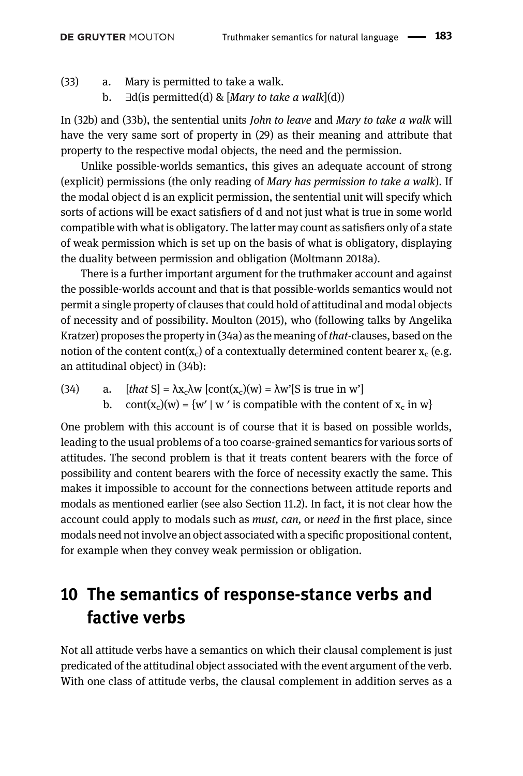- (33) a. Mary is permitted to take a walk.
	- b.  $\exists d(i)$  permitted(d) & [Mary to take a walk](d))

In (32b) and (33b), the sentential units John to leave and Mary to take a walk will have the very same sort of property in (29) as their meaning and attribute that property to the respective modal objects, the need and the permission.

Unlike possible-worlds semantics, this gives an adequate account of strong (explicit) permissions (the only reading of Mary has permission to take a walk). If the modal object d is an explicit permission, the sentential unit will specify which sorts of actions will be exact satisfiers of d and not just what is true in some world compatible with what is obligatory. The latter may count as satisfiers only of a state of weak permission which is set up on the basis of what is obligatory, displaying the duality between permission and obligation ([Moltmann 2018a\)](#page-41-17).

There is a further important argument for the truthmaker account and against the possible-worlds account and that is that possible-worlds semantics would not permit a single property of clauses that could hold of attitudinal and modal objects of necessity and of possibility. [Moulton \(2015\),](#page-41-8) who (following talks by Angelika Kratzer) proposes the property in (34a) as the meaning of that-clauses, based on the notion of the content cont( $x_c$ ) of a contextually determined content bearer  $x_c$  (e.g. an attitudinal object) in (34b):

(34) a.  $[that S] = \lambda x_c \lambda w [cont(x_c)(w) = \lambda w'[S] is true in w']$ b. cont(x<sub>c</sub>)(w) = {w' | w' is compatible with the content of x<sub>c</sub> in w}

One problem with this account is of course that it is based on possible worlds, leading to the usual problems of a too coarse-grained semantics for various sorts of attitudes. The second problem is that it treats content bearers with the force of possibility and content bearers with the force of necessity exactly the same. This makes it impossible to account for the connections between attitude reports and modals as mentioned earlier (see also [Section 11.2](#page-30-0)). In fact, it is not clear how the account could apply to modals such as *must*, *can*, or *need* in the first place, since modals need not involve an object associated with a specific propositional content, for example when they convey weak permission or obligation.

### 10 The semantics of response-stance verbs and factive verbs

Not all attitude verbs have a semantics on which their clausal complement is just predicated of the attitudinal object associated with the event argument of the verb. With one class of attitude verbs, the clausal complement in addition serves as a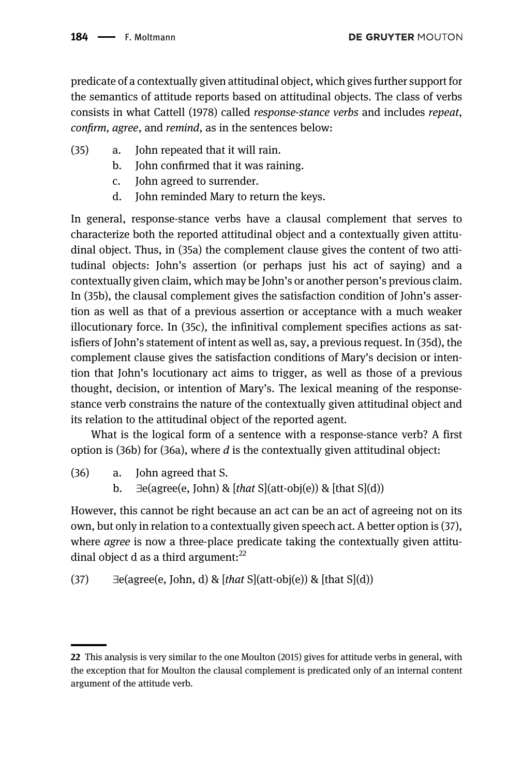predicate of a contextually given attitudinal object, which gives further support for the semantics of attitude reports based on attitudinal objects. The class of verbs consists in what [Cattell \(1978\)](#page-39-8) called response-stance verbs and includes repeat, confirm, agree, and remind, as in the sentences below:

- (35) a. John repeated that it will rain.
	- b. John confirmed that it was raining.
	- c. John agreed to surrender.
	- d. John reminded Mary to return the keys.

In general, response-stance verbs have a clausal complement that serves to characterize both the reported attitudinal object and a contextually given attitudinal object. Thus, in (35a) the complement clause gives the content of two attitudinal objects: John's assertion (or perhaps just his act of saying) and a contextually given claim, which may be John's or another person's previous claim. In (35b), the clausal complement gives the satisfaction condition of John's assertion as well as that of a previous assertion or acceptance with a much weaker illocutionary force. In (35c), the infinitival complement specifies actions as satisfiers of John's statement of intent as well as, say, a previous request. In (35d), the complement clause gives the satisfaction conditions of Mary's decision or intention that John's locutionary act aims to trigger, as well as those of a previous thought, decision, or intention of Mary's. The lexical meaning of the responsestance verb constrains the nature of the contextually given attitudinal object and its relation to the attitudinal object of the reported agent.

What is the logical form of a sentence with a response-stance verb? A first option is (36b) for (36a), where d is the contextually given attitudinal object:

- (36) a. John agreed that S.
	- b.  $\exists$ e(agree(e, John) & [that S](att-obj(e)) & [that S](d))

However, this cannot be right because an act can be an act of agreeing not on its own, but only in relation to a contextually given speech act. A better option is (37), where *agree* is now a three-place predicate taking the contextually given attitudinal object d as a third argument: $^{22}$ 

(37) 
$$
\exists e \text{(agree(e, John, d)} \& [that S](att \cdot obj(e)) \& [that S](d))
$$

<sup>22</sup> This analysis is very similar to the one [Moulton \(2015\)](#page-41-8) gives for attitude verbs in general, with the exception that for Moulton the clausal complement is predicated only of an internal content argument of the attitude verb.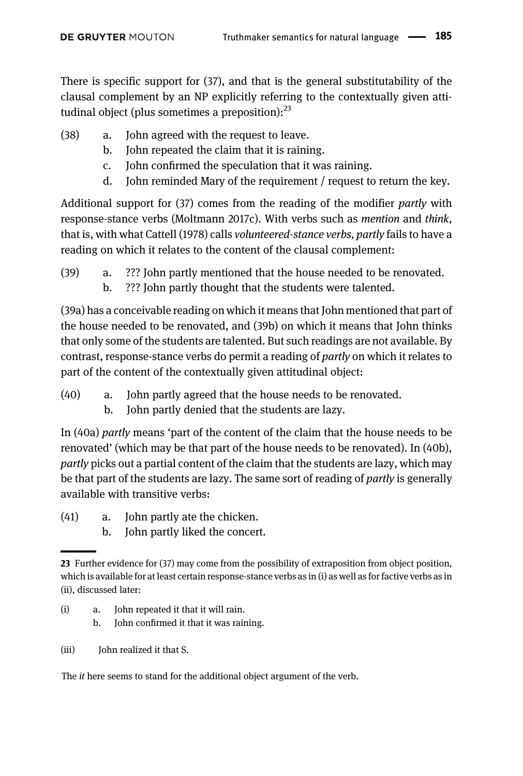There is specific support for (37), and that is the general substitutability of the clausal complement by an NP explicitly referring to the contextually given attitudinal object (plus sometimes a preposition): $^{23}$ 

- (38) a. John agreed with the request to leave.
	- b. John repeated the claim that it is raining.
	- c. John confirmed the speculation that it was raining.
	- d. John reminded Mary of the requirement / request to return the key.

Additional support for (37) comes from the reading of the modifier partly with response-stance verbs [\(Moltmann 2017c\)](#page-40-21). With verbs such as mention and think, that is, with what [Cattell \(1978\)](#page-39-8) calls volunteered-stance verbs, partly fails to have a reading on which it relates to the content of the clausal complement:

(39) a. ??? John partly mentioned that the house needed to be renovated. b. ??? John partly thought that the students were talented.

(39a) has a conceivable reading on which it means that John mentioned that part of the house needed to be renovated, and (39b) on which it means that John thinks that only some of the students are talented. But such readings are not available. By contrast, response-stance verbs do permit a reading of partly on which it relates to part of the content of the contextually given attitudinal object:

- (40) a. John partly agreed that the house needs to be renovated.
	- b. John partly denied that the students are lazy.

In (40a) partly means 'part of the content of the claim that the house needs to be renovated' (which may be that part of the house needs to be renovated). In (40b), partly picks out a partial content of the claim that the students are lazy, which may be that part of the students are lazy. The same sort of reading of *partly* is generally available with transitive verbs:

- (41) a. John partly ate the chicken.
	- b. John partly liked the concert.

- (i) a. John repeated it that it will rain.
	- b. John confirmed it that it was raining.
- (iii) John realized it that S.

The it here seems to stand for the additional object argument of the verb.

<sup>23</sup> Further evidence for (37) may come from the possibility of extraposition from object position, which is available for at least certain response-stance verbs as in (i) as well as for factive verbs as in (ii), discussed later: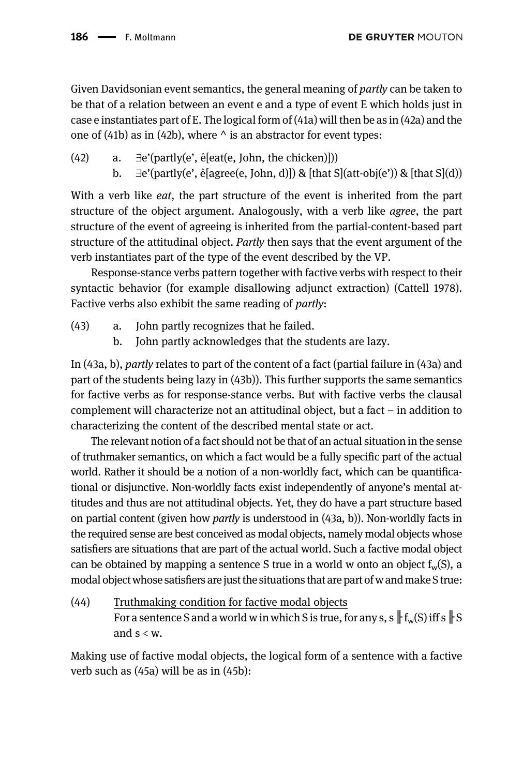Given Davidsonian event semantics, the general meaning of *partly* can be taken to be that of a relation between an event e and a type of event E which holds just in case e instantiates part of E. The logical form of (41a) will then be as in (42a) and the one of (41b) as in (42b), where  $\wedge$  is an abstractor for event types:

- (42) a.  $\exists$ e'(partly(e',  $\hat{e}$ [eat(e, John, the chicken)]))
	- b.  $\exists$ e'(partly(e', ê[agree(e, John, d)]) & [that S](att-obj(e')) & [that S](d))

With a verb like *eat*, the part structure of the event is inherited from the part structure of the object argument. Analogously, with a verb like *agree*, the part structure of the event of agreeing is inherited from the partial-content-based part structure of the attitudinal object. Partly then says that the event argument of the verb instantiates part of the type of the event described by the VP.

Response-stance verbs pattern together with factive verbs with respect to their syntactic behavior (for example disallowing adjunct extraction) [\(Cattell 1978\)](#page-39-8). Factive verbs also exhibit the same reading of partly:

- (43) a. John partly recognizes that he failed.
	- b. John partly acknowledges that the students are lazy.

In (43a, b), partly relates to part of the content of a fact (partial failure in (43a) and part of the students being lazy in (43b)). This further supports the same semantics for factive verbs as for response-stance verbs. But with factive verbs the clausal complement will characterize not an attitudinal object, but a fact – in addition to characterizing the content of the described mental state or act.

The relevant notion of a fact should not be that of an actual situation in the sense of truthmaker semantics, on which a fact would be a fully specific part of the actual world. Rather it should be a notion of a non-worldly fact, which can be quantificational or disjunctive. Non-worldly facts exist independently of anyone's mental attitudes and thus are not attitudinal objects. Yet, they do have a part structure based on partial content (given how partly is understood in (43a, b)). Non-worldly facts in the required sense are best conceived as modal objects, namely modal objects whose satisfiers are situations that are part of the actual world. Such a factive modal object can be obtained by mapping a sentence S true in a world w onto an object  $f_w(S)$ , a modal object whose satisfiers are just the situations that are part of w and make S true:

(44) Truthmaking condition for factive modal objects For a sentence S and a world w in which S is true, for any s, s  $\|f_w(s)$  iff s  $\|S\|$ and  $s < w$ .

Making use of factive modal objects, the logical form of a sentence with a factive verb such as (45a) will be as in (45b):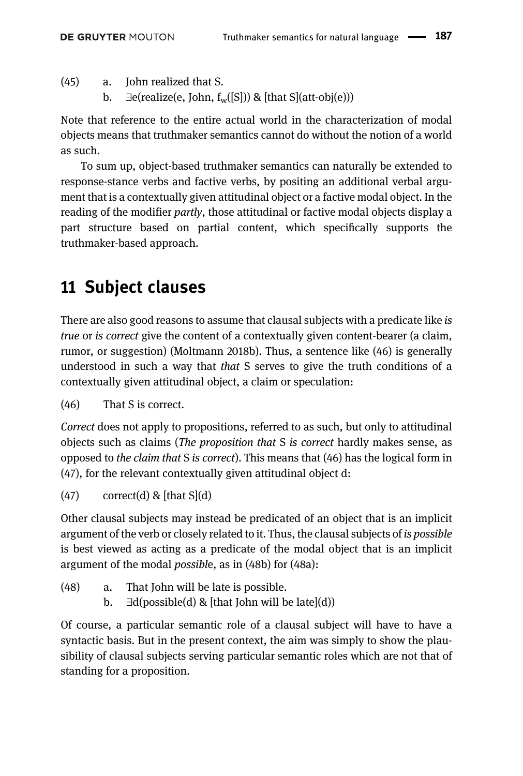(45) a. John realized that S.

b.  $\exists$ e(realize(e, John, f<sub>w</sub>([S])) & [that S](att-obj(e)))

Note that reference to the entire actual world in the characterization of modal objects means that truthmaker semantics cannot do without the notion of a world as such.

To sum up, object-based truthmaker semantics can naturally be extended to response-stance verbs and factive verbs, by positing an additional verbal argument that is a contextually given attitudinal object or a factive modal object. In the reading of the modifier partly, those attitudinal or factive modal objects display a part structure based on partial content, which specifically supports the truthmaker-based approach.

# 11 Subject clauses

There are also good reasons to assume that clausal subjects with a predicate like is true or is correct give the content of a contextually given content-bearer (a claim, rumor, or suggestion) [\(Moltmann 2018b](#page-41-13)). Thus, a sentence like (46) is generally understood in such a way that *that* S serves to give the truth conditions of a contextually given attitudinal object, a claim or speculation:

(46) That S is correct.

Correct does not apply to propositions, referred to as such, but only to attitudinal objects such as claims (The proposition that S is correct hardly makes sense, as opposed to the claim that S is correct). This means that (46) has the logical form in (47), for the relevant contextually given attitudinal object d:

 $(47)$  correct(d) & [that S](d)

Other clausal subjects may instead be predicated of an object that is an implicit argument of the verb or closely related to it. Thus, the clausal subjects of is possible is best viewed as acting as a predicate of the modal object that is an implicit argument of the modal possible, as in (48b) for (48a):

- (48) a. That John will be late is possible.
	- b.  $∃d(possible(d) & [that John will be late](d))$

Of course, a particular semantic role of a clausal subject will have to have a syntactic basis. But in the present context, the aim was simply to show the plausibility of clausal subjects serving particular semantic roles which are not that of standing for a proposition.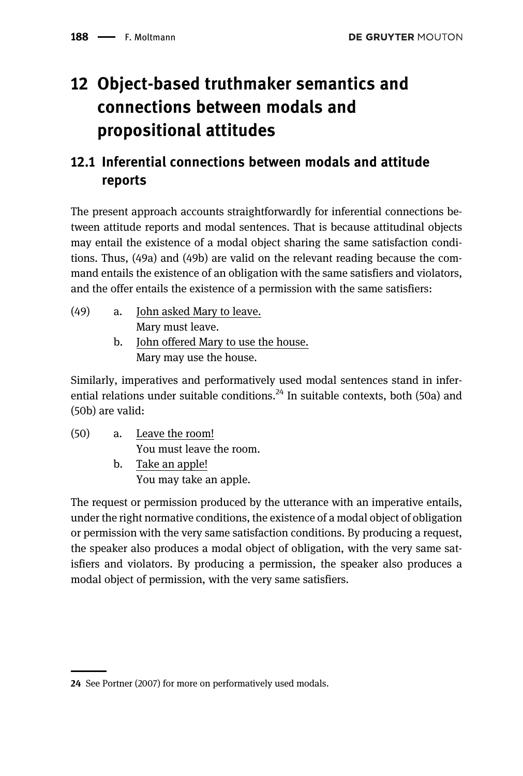# 12 Object-based truthmaker semantics and connections between modals and propositional attitudes

### 12.1 Inferential connections between modals and attitude reports

The present approach accounts straightforwardly for inferential connections between attitude reports and modal sentences. That is because attitudinal objects may entail the existence of a modal object sharing the same satisfaction conditions. Thus, (49a) and (49b) are valid on the relevant reading because the command entails the existence of an obligation with the same satisfiers and violators, and the offer entails the existence of a permission with the same satisfiers:

- (49) a. John asked Mary to leave. Mary must leave.
	- b. John offered Mary to use the house. Mary may use the house.

Similarly, imperatives and performatively used modal sentences stand in inferential relations under suitable conditions.<sup>24</sup> In suitable contexts, both (50a) and (50b) are valid:

(50) a. Leave the room! You must leave the room. b. Take an apple! You may take an apple.

The request or permission produced by the utterance with an imperative entails, under the right normative conditions, the existence of a modal object of obligation or permission with the very same satisfaction conditions. By producing a request, the speaker also produces a modal object of obligation, with the very same satisfiers and violators. By producing a permission, the speaker also produces a modal object of permission, with the very same satisfiers.

<sup>24</sup> See [Portner \(2007\)](#page-41-19) for more on performatively used modals.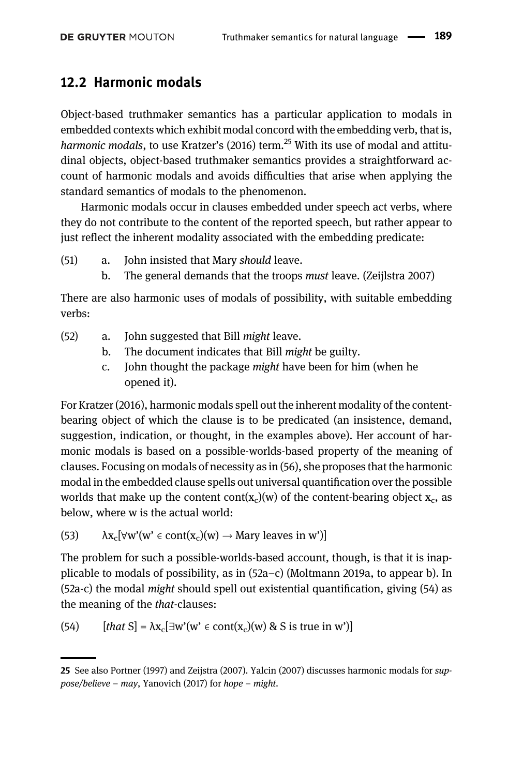#### <span id="page-30-0"></span>12.2 Harmonic modals

Object-based truthmaker semantics has a particular application to modals in embedded contexts which exhibit modal concord with the embedding verb, that is, harmonic modals, to use [Kratzer](#page-40-15)'s (2016) term.<sup>25</sup> With its use of modal and attitudinal objects, object-based truthmaker semantics provides a straightforward account of harmonic modals and avoids difficulties that arise when applying the standard semantics of modals to the phenomenon.

Harmonic modals occur in clauses embedded under speech act verbs, where they do not contribute to the content of the reported speech, but rather appear to just reflect the inherent modality associated with the embedding predicate:

- (51) a. John insisted that Mary should leave.
	- b. The general demands that the troops must leave. (Zeijlstra 2007)

There are also harmonic uses of modals of possibility, with suitable embedding verbs:

- (52) a. John suggested that Bill might leave.
	- b. The document indicates that Bill might be guilty.
	- c. John thought the package might have been for him (when he opened it).

For [Kratzer \(2016\)](#page-40-15), harmonic modals spell out the inherent modality of the contentbearing object of which the clause is to be predicated (an insistence, demand, suggestion, indication, or thought, in the examples above). Her account of harmonic modals is based on a possible-worlds-based property of the meaning of clauses. Focusing on modals of necessity as in (56), she proposes that the harmonic modal in the embedded clause spells out universal quantification over the possible worlds that make up the content cont( $x_c$ )(w) of the content-bearing object  $x_c$ , as below, where w is the actual world:

(53)  $\lambda x_c[\forall w'(w' \in cont(x_c)(w) \rightarrow Mary$  leaves in w')]

The problem for such a possible-worlds-based account, though, is that it is inapplicable to modals of possibility, as in (52a–c) ([Moltmann 2019a](#page-41-20), to appear b). In (52a-c) the modal might should spell out existential quantification, giving (54) as the meaning of the that-clauses:

(54) 
$$
[that S] = \lambda x_c [\exists w'(w' \in cont(x_c)(w) \& S \text{ is true in } w')]
$$

<sup>25</sup> See also [Portner \(1997\)](#page-41-21) and [Zeijstra \(2007\)](#page-41-22). [Yalcin \(2007\)](#page-41-23) discusses harmonic modals for suppose/believe – may, [Yanovich \(2017\)](#page-41-24) for hope – might.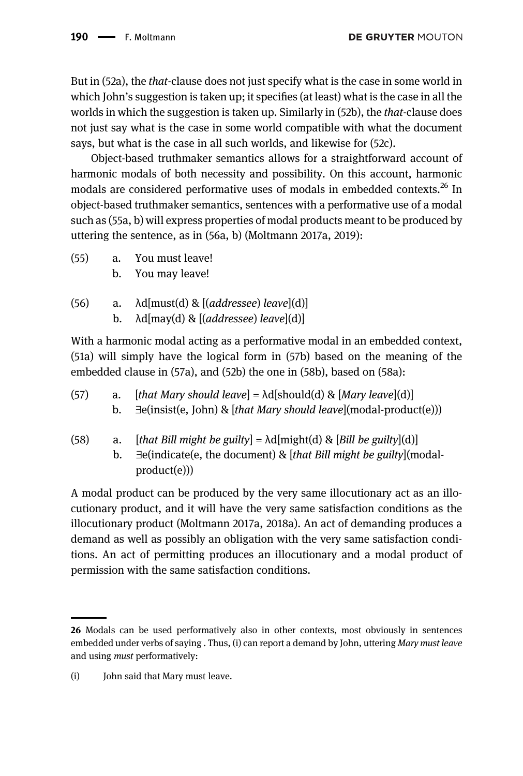But in (52a), the that-clause does not just specify what is the case in some world in which John's suggestion is taken up; it specifies (at least) what is the case in all the worlds in which the suggestion is taken up. Similarly in (52b), the *that*-clause does not just say what is the case in some world compatible with what the document says, but what is the case in all such worlds, and likewise for (52c).

Object-based truthmaker semantics allows for a straightforward account of harmonic modals of both necessity and possibility. On this account, harmonic modals are considered performative uses of modals in embedded contexts.<sup>26</sup> In object-based truthmaker semantics, sentences with a performative use of a modal such as (55a, b) will express properties of modal products meant to be produced by uttering the sentence, as in (56a, b) ([Moltmann 2017a](#page-40-18), [2019](#page-41-20)):

- (55) a. You must leave!
	- b. You may leave!
- (56) a.  $\text{Ad}[\text{must}(d) \& \left[ (addressee) \text{ leave} \right](d) ]$ b.  $\lambda d$ [may(d) & [(addressee) leave](d)]

With a harmonic modal acting as a performative modal in an embedded context, (51a) will simply have the logical form in (57b) based on the meaning of the embedded clause in (57a), and (52b) the one in (58b), based on (58a):

| (57) | a. [that Mary should leave] = $\text{Ad}[\text{should}(d) \& [Mary\text{ }leave](d)]$ |
|------|---------------------------------------------------------------------------------------|
|      | b. $\exists$ e(insist(e, John) & [that Mary should leave](modal-product(e)))          |
|      |                                                                                       |

(58) a. [that Bill might be guilty] =  $\lambda$ d[might(d) & [Bill be guilty](d)] b.  $\exists$ e(indicate(e, the document) & [that Bill might be guilty](modalproduct(e)))

A modal product can be produced by the very same illocutionary act as an illocutionary product, and it will have the very same satisfaction conditions as the illocutionary product [\(Moltmann 2017a](#page-40-18), [2018a\)](#page-41-17). An act of demanding produces a demand as well as possibly an obligation with the very same satisfaction conditions. An act of permitting produces an illocutionary and a modal product of permission with the same satisfaction conditions.

<sup>26</sup> Modals can be used performatively also in other contexts, most obviously in sentences embedded under verbs of saying . Thus, (i) can report a demand by John, uttering Mary must leave and using must performatively:

<sup>(</sup>i) John said that Mary must leave.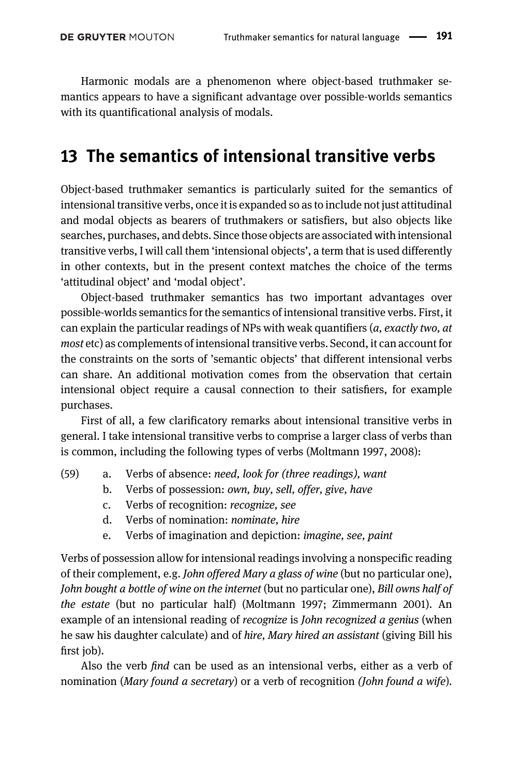Harmonic modals are a phenomenon where object-based truthmaker semantics appears to have a significant advantage over possible-worlds semantics with its quantificational analysis of modals.

### 13 The semantics of intensional transitive verbs

Object-based truthmaker semantics is particularly suited for the semantics of intensional transitive verbs, once it is expanded so as to include not just attitudinal and modal objects as bearers of truthmakers or satisfiers, but also objects like searches, purchases, and debts. Since those objects are associated with intensional transitive verbs, I will call them 'intensional objects', a term that is used differently in other contexts, but in the present context matches the choice of the terms 'attitudinal object' and 'modal object'.

Object-based truthmaker semantics has two important advantages over possible-worlds semantics for the semantics of intensional transitive verbs. First, it can explain the particular readings of NPs with weak quantifiers  $(a, exactly two, at$ most etc) as complements of intensional transitive verbs. Second, it can account for the constraints on the sorts of 'semantic objects' that different intensional verbs can share. An additional motivation comes from the observation that certain intensional object require a causal connection to their satisfiers, for example purchases.

First of all, a few clarificatory remarks about intensional transitive verbs in general. I take intensional transitive verbs to comprise a larger class of verbs than is common, including the following types of verbs [\(Moltmann 1997,](#page-40-22) [2008\)](#page-40-23):

- (59) a. Verbs of absence: need, look for (three readings), want
	- b. Verbs of possession: own, buy, sell, offer, give, have
	- c. Verbs of recognition: recognize, see
	- d. Verbs of nomination: nominate, hire
	- e. Verbs of imagination and depiction: imagine, see, paint

Verbs of possession allow for intensional readings involving a nonspecific reading of their complement, e.g. John offered Mary a glass of wine (but no particular one), John bought a bottle of wine on the internet (but no particular one), Bill owns half of the estate (but no particular half) [\(Moltmann 1997](#page-40-22); [Zimmermann 2001\)](#page-41-25). An example of an intensional reading of *recognize* is *John recognized a genius* (when he saw his daughter calculate) and of hire, Mary hired an assistant (giving Bill his first job).

Also the verb find can be used as an intensional verbs, either as a verb of nomination (Mary found a secretary) or a verb of recognition (John found a wife).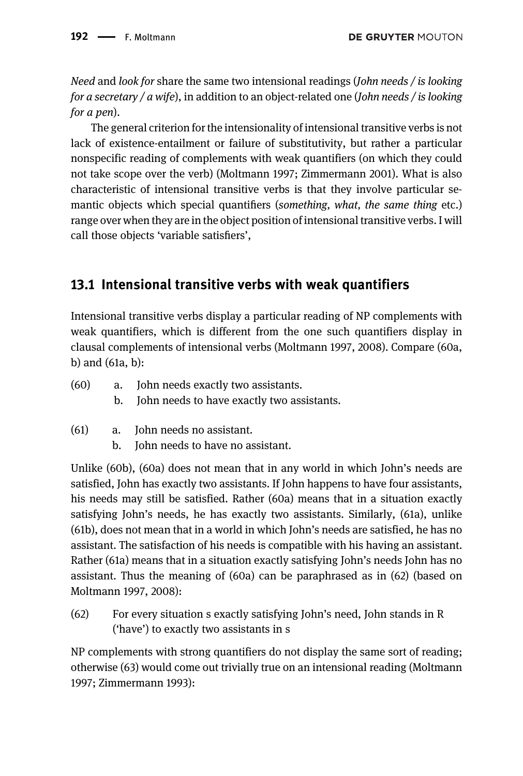Need and look for share the same two intensional readings (John needs / is looking for a secretary / a wife), in addition to an object-related one (John needs / is looking for a pen).

The general criterion for the intensionality of intensional transitive verbs is not lack of existence-entailment or failure of substitutivity, but rather a particular nonspecific reading of complements with weak quantifiers (on which they could not take scope over the verb) ([Moltmann 1997;](#page-40-22) [Zimmermann 2001](#page-41-25)). What is also characteristic of intensional transitive verbs is that they involve particular semantic objects which special quantifiers (something, what, the same thing etc.) range over when they are in the object position of intensional transitive verbs. I will call those objects 'variable satisfiers',

#### 13.1 Intensional transitive verbs with weak quantifiers

Intensional transitive verbs display a particular reading of NP complements with weak quantifiers, which is different from the one such quantifiers display in clausal complements of intensional verbs [\(Moltmann 1997,](#page-40-22) [2008\)](#page-40-23). Compare (60a, b) and (61a, b):

| (60) | a. John needs exactly two assistants.         |
|------|-----------------------------------------------|
|      | b. John needs to have exactly two assistants. |

- (61) a. John needs no assistant.
	- b. John needs to have no assistant.

Unlike (60b), (60a) does not mean that in any world in which John's needs are satisfied, John has exactly two assistants. If John happens to have four assistants, his needs may still be satisfied. Rather (60a) means that in a situation exactly satisfying John's needs, he has exactly two assistants. Similarly, (61a), unlike (61b), does not mean that in a world in which John's needs are satisfied, he has no assistant. The satisfaction of his needs is compatible with his having an assistant. Rather (61a) means that in a situation exactly satisfying John's needs John has no assistant. Thus the meaning of (60a) can be paraphrased as in (62) (based on [Moltmann 1997,](#page-40-22) [2008\)](#page-40-23):

(62) For every situation s exactly satisfying John's need, John stands in R ('have') to exactly two assistants in s

NP complements with strong quantifiers do not display the same sort of reading; otherwise (63) would come out trivially true on an intensional reading (Moltmann 1997; [Zimmermann 1993](#page-41-26)):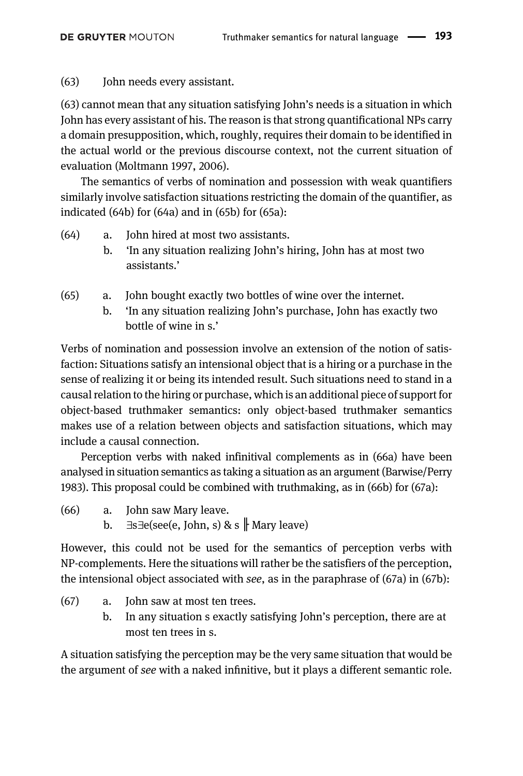(63) John needs every assistant.

(63) cannot mean that any situation satisfying John's needs is a situation in which John has every assistant of his. The reason is that strong quantificational NPs carry a domain presupposition, which, roughly, requires their domain to be identified in the actual world or the previous discourse context, not the current situation of evaluation ([Moltmann 1997,](#page-40-22) 2006).

The semantics of verbs of nomination and possession with weak quantifiers similarly involve satisfaction situations restricting the domain of the quantifier, as indicated (64b) for (64a) and in (65b) for (65a):

- (64) a. John hired at most two assistants.
	- b. 'In any situation realizing John's hiring, John has at most two assistants.'
- (65) a. John bought exactly two bottles of wine over the internet.
	- b. 'In any situation realizing John's purchase, John has exactly two bottle of wine in s.'

Verbs of nomination and possession involve an extension of the notion of satisfaction: Situations satisfy an intensional object that is a hiring or a purchase in the sense of realizing it or being its intended result. Such situations need to stand in a causal relation to the hiring or purchase, which is an additional piece of support for object-based truthmaker semantics: only object-based truthmaker semantics makes use of a relation between objects and satisfaction situations, which may include a causal connection.

Perception verbs with naked infinitival complements as in (66a) have been analysed in situation semantics as taking a situation as an argument ([Barwise/Perry](#page-39-1) [1983\)](#page-39-1). This proposal could be combined with truthmaking, as in (66b) for (67a):

- (66) a. John saw Mary leave.
	- b.  $\exists s \exists e$ (see(e, John, s) & s  $\parallel$  Mary leave)

However, this could not be used for the semantics of perception verbs with NP-complements. Here the situations will rather be the satisfiers of the perception, the intensional object associated with see, as in the paraphrase of (67a) in (67b):

- (67) a. John saw at most ten trees.
	- b. In any situation s exactly satisfying John's perception, there are at most ten trees in s.

A situation satisfying the perception may be the very same situation that would be the argument of see with a naked infinitive, but it plays a different semantic role.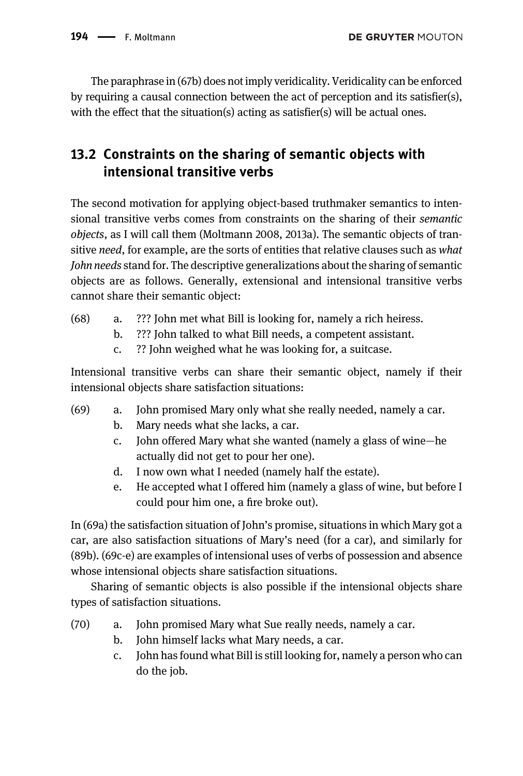The paraphrase in (67b) does not imply veridicality. Veridicality can be enforced by requiring a causal connection between the act of perception and its satisfier(s), with the effect that the situation(s) acting as satisfier(s) will be actual ones.

### 13.2 Constraints on the sharing of semantic objects with intensional transitive verbs

The second motivation for applying object-based truthmaker semantics to intensional transitive verbs comes from constraints on the sharing of their semantic objects, as I will call them ([Moltmann 2008,](#page-40-23) [2013a\)](#page-40-3). The semantic objects of transitive need, for example, are the sorts of entities that relative clauses such as what John needs stand for. The descriptive generalizations about the sharing of semantic objects are as follows. Generally, extensional and intensional transitive verbs cannot share their semantic object:

- (68) a. ??? John met what Bill is looking for, namely a rich heiress.
	- b. ??? John talked to what Bill needs, a competent assistant.
	- c. ?? John weighed what he was looking for, a suitcase.

Intensional transitive verbs can share their semantic object, namely if their intensional objects share satisfaction situations:

- (69) a. John promised Mary only what she really needed, namely a car.
	- b. Mary needs what she lacks, a car.
	- c. John offered Mary what she wanted (namely a glass of wine—he actually did not get to pour her one).
	- d. I now own what I needed (namely half the estate).
	- e. He accepted what I offered him (namely a glass of wine, but before I could pour him one, a fire broke out).

In (69a) the satisfaction situation of John's promise, situations in which Mary got a car, are also satisfaction situations of Mary's need (for a car), and similarly for (89b). (69c-e) are examples of intensional uses of verbs of possession and absence whose intensional objects share satisfaction situations.

Sharing of semantic objects is also possible if the intensional objects share types of satisfaction situations.

- (70) a. John promised Mary what Sue really needs, namely a car.
	- b. John himself lacks what Mary needs, a car.
	- c. John has found what Bill is still looking for, namely a person who can do the job.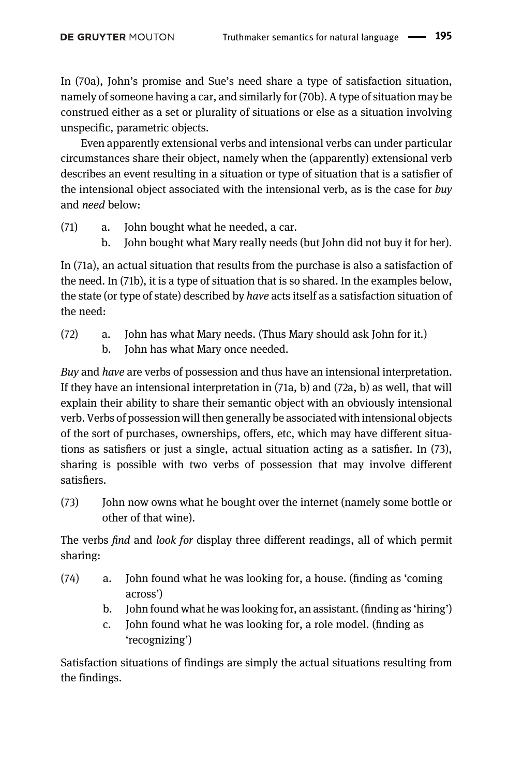In (70a), John's promise and Sue's need share a type of satisfaction situation, namely of someone having a car, and similarly for (70b). A type of situation may be construed either as a set or plurality of situations or else as a situation involving unspecific, parametric objects.

Even apparently extensional verbs and intensional verbs can under particular circumstances share their object, namely when the (apparently) extensional verb describes an event resulting in a situation or type of situation that is a satisfier of the intensional object associated with the intensional verb, as is the case for  $buv$ and need below:

- (71) a. John bought what he needed, a car.
	- b. John bought what Mary really needs (but John did not buy it for her).

In (71a), an actual situation that results from the purchase is also a satisfaction of the need. In (71b), it is a type of situation that is so shared. In the examples below, the state (or type of state) described by have acts itself as a satisfaction situation of the need:

- (72) a. John has what Mary needs. (Thus Mary should ask John for it.)
	- b. John has what Mary once needed.

Buy and have are verbs of possession and thus have an intensional interpretation. If they have an intensional interpretation in (71a, b) and (72a, b) as well, that will explain their ability to share their semantic object with an obviously intensional verb. Verbs of possession will then generally be associated with intensional objects of the sort of purchases, ownerships, offers, etc, which may have different situations as satisfiers or just a single, actual situation acting as a satisfier. In (73), sharing is possible with two verbs of possession that may involve different satisfiers.

(73) John now owns what he bought over the internet (namely some bottle or other of that wine).

The verbs find and look for display three different readings, all of which permit sharing:

- (74) a. John found what he was looking for, a house. (finding as 'coming across')
	- b. John found what he was looking for, an assistant. (finding as 'hiring')
	- c. John found what he was looking for, a role model. (finding as 'recognizing')

Satisfaction situations of findings are simply the actual situations resulting from the findings.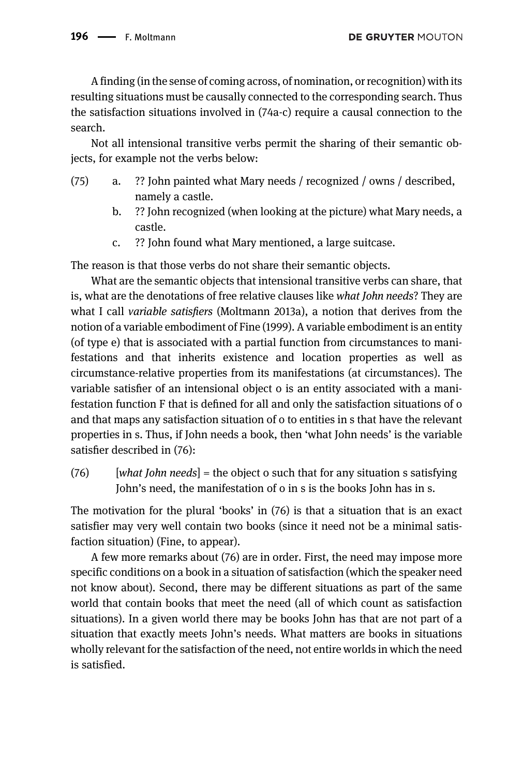$196$   $\longrightarrow$  F. Moltmann

A finding (in the sense of coming across, of nomination, or recognition) with its resulting situations must be causally connected to the corresponding search. Thus the satisfaction situations involved in (74a-c) require a causal connection to the search.

Not all intensional transitive verbs permit the sharing of their semantic objects, for example not the verbs below:

- (75) a. ?? John painted what Mary needs / recognized / owns / described, namely a castle.
	- b. ?? John recognized (when looking at the picture) what Mary needs, a castle.
	- c. ?? John found what Mary mentioned, a large suitcase.

The reason is that those verbs do not share their semantic objects.

What are the semantic objects that intensional transitive verbs can share, that is, what are the denotations of free relative clauses like what John needs? They are what I call *variable satisfiers* [\(Moltmann 2013a](#page-40-3)), a notion that derives from the notion of a variable embodiment of [Fine \(1999\)](#page-39-9). A variable embodiment is an entity (of type e) that is associated with a partial function from circumstances to manifestations and that inherits existence and location properties as well as circumstance-relative properties from its manifestations (at circumstances). The variable satisfier of an intensional object o is an entity associated with a manifestation function F that is defined for all and only the satisfaction situations of o and that maps any satisfaction situation of o to entities in s that have the relevant properties in s. Thus, if John needs a book, then 'what John needs' is the variable satisfier described in (76):

 $(76)$  [what John needs] = the object o such that for any situation s satisfying John's need, the manifestation of o in s is the books John has in s.

The motivation for the plural 'books' in (76) is that a situation that is an exact satisfier may very well contain two books (since it need not be a minimal satisfaction situation) (Fine, to appear).

A few more remarks about (76) are in order. First, the need may impose more specific conditions on a book in a situation of satisfaction (which the speaker need not know about). Second, there may be different situations as part of the same world that contain books that meet the need (all of which count as satisfaction situations). In a given world there may be books John has that are not part of a situation that exactly meets John's needs. What matters are books in situations wholly relevant for the satisfaction of the need, not entire worlds in which the need is satisfied.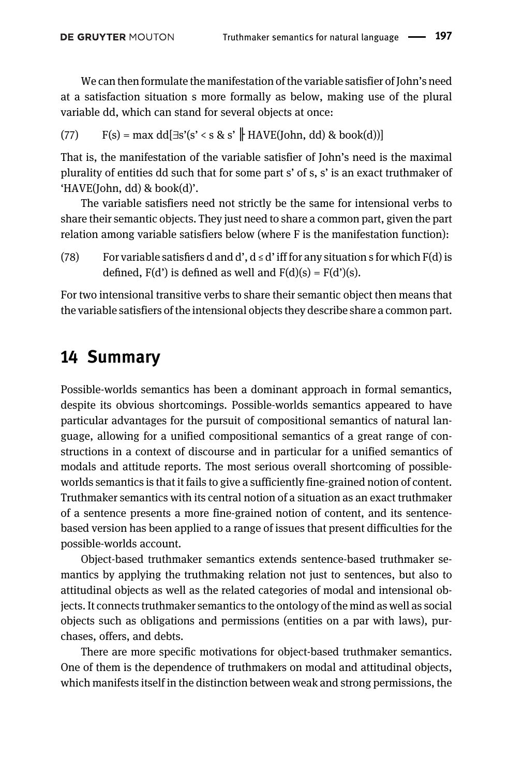We can then formulate the manifestation of the variable satisfier of John's need at a satisfaction situation s more formally as below, making use of the plural variable dd, which can stand for several objects at once:

(77)  $F(s) = max \ dd\exists s'(s' < s \& s' \parallel HAVE(John, dd) \& book(d))$ 

That is, the manifestation of the variable satisfier of John's need is the maximal plurality of entities dd such that for some part s' of s, s' is an exact truthmaker of 'HAVE(John, dd) & book(d)'.

The variable satisfiers need not strictly be the same for intensional verbs to share their semantic objects. They just need to share a common part, given the part relation among variable satisfiers below (where F is the manifestation function):

(78) For variable satisfiers d and d',  $d \le d'$  iff for any situation s for which  $F(d)$  is defined,  $F(d')$  is defined as well and  $F(d)(s) = F(d')(s)$ .

For two intensional transitive verbs to share their semantic object then means that the variable satisfiers of the intensional objects they describe share a common part.

### 14 Summary

Possible-worlds semantics has been a dominant approach in formal semantics, despite its obvious shortcomings. Possible-worlds semantics appeared to have particular advantages for the pursuit of compositional semantics of natural language, allowing for a unified compositional semantics of a great range of constructions in a context of discourse and in particular for a unified semantics of modals and attitude reports. The most serious overall shortcoming of possibleworlds semantics is that it fails to give a sufficiently fine-grained notion of content. Truthmaker semantics with its central notion of a situation as an exact truthmaker of a sentence presents a more fine-grained notion of content, and its sentencebased version has been applied to a range of issues that present difficulties for the possible-worlds account.

Object-based truthmaker semantics extends sentence-based truthmaker semantics by applying the truthmaking relation not just to sentences, but also to attitudinal objects as well as the related categories of modal and intensional objects. It connects truthmaker semantics to the ontology of the mind as well as social objects such as obligations and permissions (entities on a par with laws), purchases, offers, and debts.

There are more specific motivations for object-based truthmaker semantics. One of them is the dependence of truthmakers on modal and attitudinal objects, which manifests itself in the distinction between weak and strong permissions, the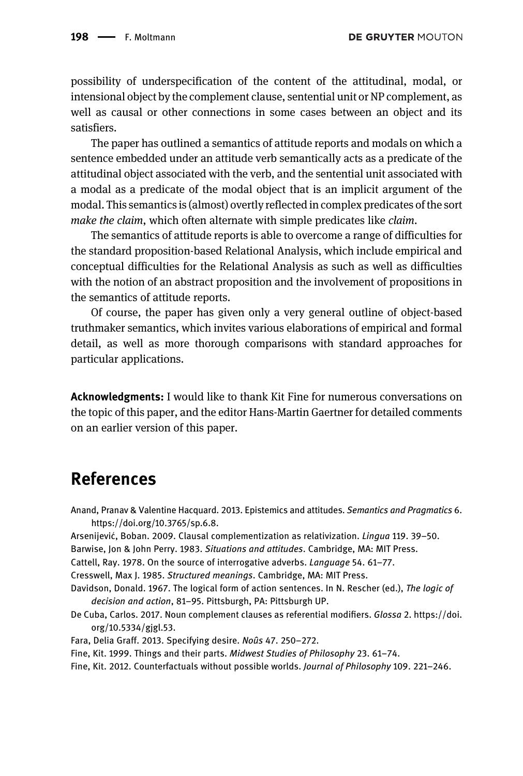possibility of underspecification of the content of the attitudinal, modal, or intensional object by the complement clause, sentential unit or NP complement, as well as causal or other connections in some cases between an object and its satisfiers.

The paper has outlined a semantics of attitude reports and modals on which a sentence embedded under an attitude verb semantically acts as a predicate of the attitudinal object associated with the verb, and the sentential unit associated with a modal as a predicate of the modal object that is an implicit argument of the modal. This semantics is (almost) overtly reflected in complex predicates of the sort make the claim, which often alternate with simple predicates like claim.

The semantics of attitude reports is able to overcome a range of difficulties for the standard proposition-based Relational Analysis, which include empirical and conceptual difficulties for the Relational Analysis as such as well as difficulties with the notion of an abstract proposition and the involvement of propositions in the semantics of attitude reports.

Of course, the paper has given only a very general outline of object-based truthmaker semantics, which invites various elaborations of empirical and formal detail, as well as more thorough comparisons with standard approaches for particular applications.

Acknowledgments: I would like to thank Kit Fine for numerous conversations on the topic of this paper, and the editor Hans-Martin Gaertner for detailed comments on an earlier version of this paper.

### References

<span id="page-39-9"></span><span id="page-39-8"></span><span id="page-39-7"></span><span id="page-39-6"></span><span id="page-39-5"></span><span id="page-39-4"></span><span id="page-39-3"></span><span id="page-39-2"></span><span id="page-39-1"></span><span id="page-39-0"></span>Anand, Pranav & Valentine Hacquard. 2013. Epistemics and attitudes. Semantics and Pragmatics 6. <https://doi.org/10.3765/sp.6.8>. Arsenijević, Boban. 2009. Clausal complementization as relativization. *Lingua* 119. 39-50. Barwise, Jon & John Perry. 1983. Situations and attitudes. Cambridge, MA: MIT Press. Cattell, Ray. 1978. On the source of interrogative adverbs. Language 54. 61–77. Cresswell, Max J. 1985. Structured meanings. Cambridge, MA: MIT Press. Davidson, Donald. 1967. The logical form of action sentences. In N. Rescher (ed.), The logic of decision and action, 81–95. Pittsburgh, PA: Pittsburgh UP. De Cuba, Carlos. 2017. Noun complement clauses as referential modifiers. Glossa 2. [https://doi.](https://doi.org/10.5334/gjgl.53) [org/10.5334/gjgl.53](https://doi.org/10.5334/gjgl.53). Fara, Delia Graff. 2013. Specifying desire. Noûs 47. 250–272. Fine, Kit. 1999. Things and their parts. Midwest Studies of Philosophy 23. 61–74. Fine, Kit. 2012. Counterfactuals without possible worlds. Journal of Philosophy 109. 221–246.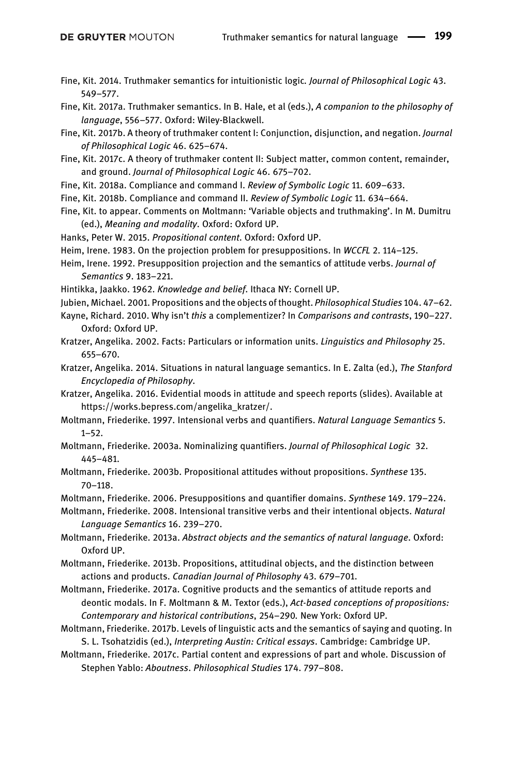- <span id="page-40-6"></span>Fine, Kit. 2014. Truthmaker semantics for intuitionistic logic. Journal of Philosophical Logic 43. 549–577.
- <span id="page-40-7"></span>Fine, Kit. 2017a. Truthmaker semantics. In B. Hale, et al (eds.), A companion to the philosophy of language, 556–577. Oxford: Wiley-Blackwell.
- <span id="page-40-8"></span>Fine, Kit. 2017b. A theory of truthmaker content I: Conjunction, disjunction, and negation. Journal of Philosophical Logic 46. 625–674.
- <span id="page-40-9"></span>Fine, Kit. 2017c. A theory of truthmaker content II: Subject matter, common content, remainder, and ground. Journal of Philosophical Logic 46. 675–702.
- <span id="page-40-10"></span>Fine, Kit. 2018a. Compliance and command I. Review of Symbolic Logic 11. 609-633.
- <span id="page-40-11"></span>Fine, Kit. 2018b. Compliance and command II. Review of Symbolic Logic 11. 634–664.
- <span id="page-40-20"></span>Fine, Kit. to appear. Comments on Moltmann: 'Variable objects and truthmaking'. In M. Dumitru (ed.), Meaning and modality. Oxford: Oxford UP.
- <span id="page-40-0"></span>Hanks, Peter W. 2015. Propositional content. Oxford: Oxford UP.
- <span id="page-40-14"></span>Heim, Irene. 1983. On the projection problem for presuppositions. In WCCFL 2. 114–125.
- <span id="page-40-13"></span>Heim, Irene. 1992. Presupposition projection and the semantics of attitude verbs. Journal of Semantics 9. 183–221.
- <span id="page-40-12"></span>Hintikka, Jaakko. 1962. Knowledge and belief. Ithaca NY: Cornell UP.
- <span id="page-40-1"></span>Jubien, Michael. 2001. Propositions and the objects of thought. Philosophical Studies 104. 47–62.
- <span id="page-40-19"></span>Kayne, Richard. 2010. Why isn't this a complementizer? In Comparisons and contrasts, 190–227. Oxford: Oxford UP.
- <span id="page-40-17"></span>Kratzer, Angelika. 2002. Facts: Particulars or information units. Linguistics and Philosophy 25. 655–670.
- <span id="page-40-5"></span>Kratzer, Angelika. 2014. Situations in natural language semantics. In E. Zalta (ed.), The Stanford Encyclopedia of Philosophy.
- <span id="page-40-15"></span>Kratzer, Angelika. 2016. Evidential moods in attitude and speech reports (slides). Available at [https://works.bepress.com/angelika\\_kratzer/.](https://works.bepress.com/angelika_kratzer/)
- <span id="page-40-22"></span>Moltmann, Friederike. 1997. Intensional verbs and quantifiers. Natural Language Semantics 5. 1–52.
- Moltmann, Friederike. 2003a. Nominalizing quantifiers. Journal of Philosophical Logic 32. 445–481.
- <span id="page-40-2"></span>Moltmann, Friederike. 2003b. Propositional attitudes without propositions. Synthese 135. 70–118.
- Moltmann, Friederike. 2006. Presuppositions and quantifier domains. Synthese 149. 179–224.
- <span id="page-40-23"></span>Moltmann, Friederike. 2008. Intensional transitive verbs and their intentional objects. Natural Language Semantics 16. 239–270.
- <span id="page-40-3"></span>Moltmann, Friederike. 2013a. Abstract objects and the semantics of natural language. Oxford: Oxford UP.
- <span id="page-40-4"></span>Moltmann, Friederike. 2013b. Propositions, attitudinal objects, and the distinction between actions and products. Canadian Journal of Philosophy 43. 679–701.
- <span id="page-40-18"></span>Moltmann, Friederike. 2017a. Cognitive products and the semantics of attitude reports and deontic modals. In F. Moltmann & M. Textor (eds.), Act-based conceptions of propositions: Contemporary and historical contributions, 254–290. New York: Oxford UP.
- <span id="page-40-16"></span>Moltmann, Friederike. 2017b. Levels of linguistic acts and the semantics of saying and quoting. In S. L. Tsohatzidis (ed.), Interpreting Austin: Critical essays. Cambridge: Cambridge UP.
- <span id="page-40-21"></span>Moltmann, Friederike. 2017c. Partial content and expressions of part and whole. Discussion of Stephen Yablo: Aboutness. Philosophical Studies 174. 797–808.